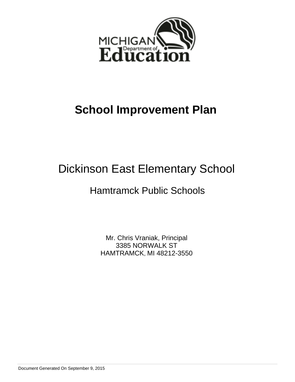

# **School Improvement Plan**

# Dickinson East Elementary School

# Hamtramck Public Schools

Mr. Chris Vraniak, Principal 3385 NORWALK ST HAMTRAMCK, MI 48212-3550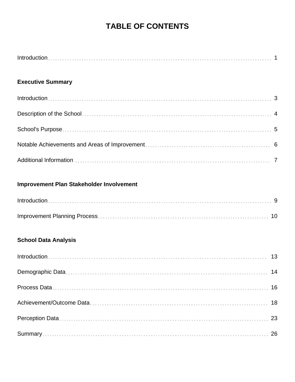## **TABLE OF CONTENTS**

## **Executive Summary**

## **Improvement Plan Stakeholder Involvement**

## **School Data Analysis**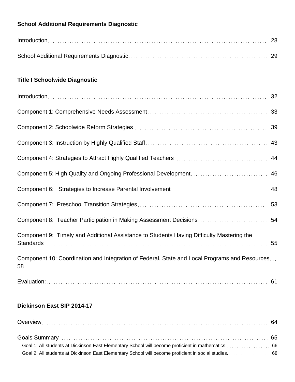## **School Additional Requirements Diagnostic**

| $Introduction \dots 28$ |  |
|-------------------------|--|
|                         |  |

## **Title I Schoolwide Diagnostic**

| Component 9: Timely and Additional Assistance to Students Having Difficulty Mastering the           | 55 |
|-----------------------------------------------------------------------------------------------------|----|
| Component 10: Coordination and Integration of Federal, State and Local Programs and Resources<br>58 |    |
|                                                                                                     |    |

## **Dickinson East SIP 2014-17**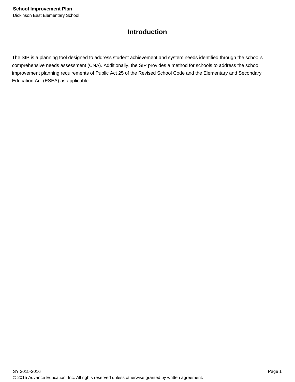## **Introduction**

The SIP is a planning tool designed to address student achievement and system needs identified through the school's comprehensive needs assessment (CNA). Additionally, the SIP provides a method for schools to address the school improvement planning requirements of Public Act 25 of the Revised School Code and the Elementary and Secondary Education Act (ESEA) as applicable.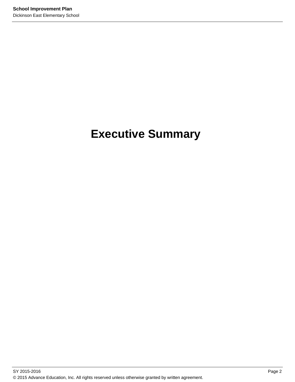# **Executive Summary**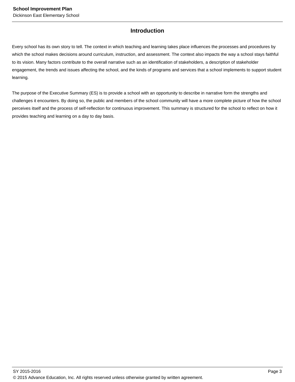## **Introduction**

Every school has its own story to tell. The context in which teaching and learning takes place influences the processes and procedures by which the school makes decisions around curriculum, instruction, and assessment. The context also impacts the way a school stays faithful to its vision. Many factors contribute to the overall narrative such as an identification of stakeholders, a description of stakeholder engagement, the trends and issues affecting the school, and the kinds of programs and services that a school implements to support student learning.

The purpose of the Executive Summary (ES) is to provide a school with an opportunity to describe in narrative form the strengths and challenges it encounters. By doing so, the public and members of the school community will have a more complete picture of how the school perceives itself and the process of self-reflection for continuous improvement. This summary is structured for the school to reflect on how it provides teaching and learning on a day to day basis.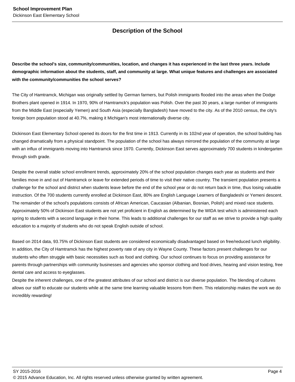## **Description of the School**

**Describe the school's size, community/communities, location, and changes it has experienced in the last three years. Include demographic information about the students, staff, and community at large. What unique features and challenges are associated with the community/communities the school serves?**

The City of Hamtramck, Michigan was originally settled by German farmers, but Polish immigrants flooded into the areas when the Dodge Brothers plant opened in 1914. In 1970, 90% of Hamtramck's population was Polish. Over the past 30 years, a large number of immigrants from the Middle East (especially Yemen) and South Asia (especially Bangladesh) have moved to the city. As of the 2010 census, the city's foreign born population stood at 40.7%, making it Michigan's most internationally diverse city.

Dickinson East Elementary School opened its doors for the first time in 1913. Currently in its 102nd year of operation, the school building has changed dramatically from a physical standpoint. The population of the school has always mirrored the population of the community at large with an influx of immigrants moving into Hamtramck since 1970. Currently, Dickinson East serves approximately 700 students in kindergarten through sixth grade.

Despite the overall stable school enrollment trends, approximately 20% of the school population changes each year as students and their families move in and out of Hamtramck or leave for extended periods of time to visit their native country. The transient population presents a challenge for the school and district when students leave before the end of the school year or do not return back in time, thus losing valuable instruction. Of the 700 students currently enrolled at Dickinson East, 80% are English Language Learners of Bangladeshi or Yemeni descent. The remainder of the school's populations consists of African American, Caucasian (Albanian, Bosnian, Polish) and mixed race students. Approximately 50% of Dickinson East students are not yet proficient in English as determined by the WIDA test which is administered each spring to students with a second language in their home. This leads to additional challenges for our staff as we strive to provide a high quality education to a majority of students who do not speak English outside of school.

Based on 2014 data, 93.75% of Dickinson East students are considered economically disadvantaged based on free/reduced lunch eligibility. In addition, the City of Hamtramck has the highest poverty rate of any city in Wayne County. These factors present challenges for our students who often struggle with basic necessities such as food and clothing. Our school continues to focus on providing assistance for parents through partnerships with community businesses and agencies who sponsor clothing and food drives, hearing and vision testing, free dental care and access to eyeglasses.

Despite the inherent challenges, one of the greatest attributes of our school and district is our diverse population. The blending of cultures allows our staff to educate our students while at the same time learning valuable lessons from them. This relationship makes the work we do incredibly rewarding!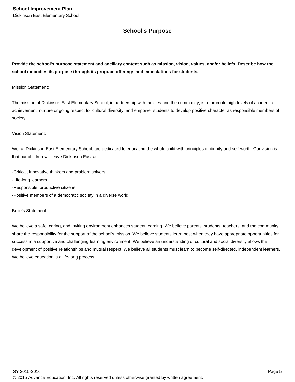## **School's Purpose**

**Provide the school's purpose statement and ancillary content such as mission, vision, values, and/or beliefs. Describe how the school embodies its purpose through its program offerings and expectations for students.**

Mission Statement:

The mission of Dickinson East Elementary School, in partnership with families and the community, is to promote high levels of academic achievement, nurture ongoing respect for cultural diversity, and empower students to develop positive character as responsible members of society.

#### Vision Statement:

We, at Dickinson East Elementary School, are dedicated to educating the whole child with principles of dignity and self-worth. Our vision is that our children will leave Dickinson East as:

-Critical, innovative thinkers and problem solvers -Life-long learners -Responsible, productive citizens -Positive members of a democratic society in a diverse world

Beliefs Statement:

We believe a safe, caring, and inviting environment enhances student learning. We believe parents, students, teachers, and the community share the responsibility for the support of the school's mission. We believe students learn best when they have appropriate opportunities for success in a supportive and challenging learning environment. We believe an understanding of cultural and social diversity allows the development of positive relationships and mutual respect. We believe all students must learn to become self-directed, independent learners. We believe education is a life-long process.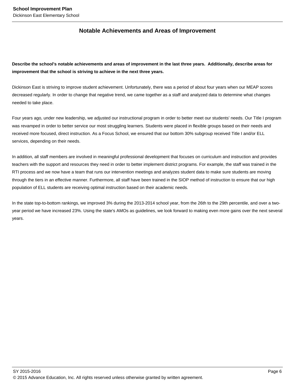## **Notable Achievements and Areas of Improvement**

**Describe the school's notable achievements and areas of improvement in the last three years. Additionally, describe areas for improvement that the school is striving to achieve in the next three years.**

Dickinson East is striving to improve student achievement. Unfortunately, there was a period of about four years when our MEAP scores decreased regularly. In order to change that negative trend, we came together as a staff and analyzed data to determine what changes needed to take place.

Four years ago, under new leadership, we adjusted our instructional program in order to better meet our students' needs. Our Title I program was revamped in order to better service our most struggling learners. Students were placed in flexible groups based on their needs and received more focused, direct instruction. As a Focus School, we ensured that our bottom 30% subgroup received Title I and/or ELL services, depending on their needs.

In addition, all staff members are involved in meaningful professional development that focuses on curriculum and instruction and provides teachers with the support and resources they need in order to better implement district programs. For example, the staff was trained in the RTI process and we now have a team that runs our intervention meetings and analyzes student data to make sure students are moving through the tiers in an effective manner. Furthermore, all staff have been trained in the SIOP method of instruction to ensure that our high population of ELL students are receiving optimal instruction based on their academic needs.

In the state top-to-bottom rankings, we improved 3% during the 2013-2014 school year, from the 26th to the 29th percentile, and over a twoyear period we have increased 23%. Using the state's AMOs as guidelines, we look forward to making even more gains over the next several years.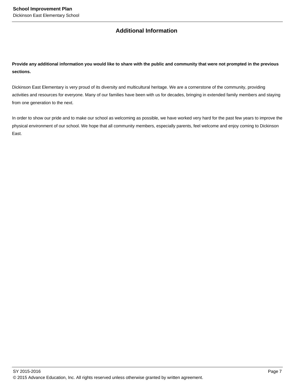## **Additional Information**

**Provide any additional information you would like to share with the public and community that were not prompted in the previous sections.**

Dickinson East Elementary is very proud of its diversity and multicultural heritage. We are a cornerstone of the community, providing activities and resources for everyone. Many of our families have been with us for decades, bringing in extended family members and staying from one generation to the next.

In order to show our pride and to make our school as welcoming as possible, we have worked very hard for the past few years to improve the physical environment of our school. We hope that all community members, especially parents, feel welcome and enjoy coming to Dickinson East.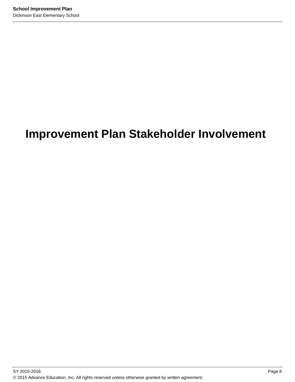# **Improvement Plan Stakeholder Involvement**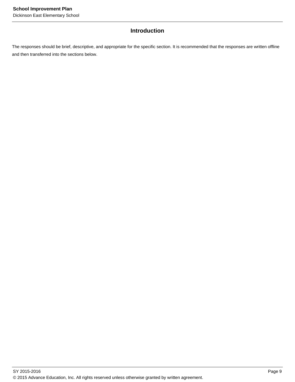## **Introduction**

The responses should be brief, descriptive, and appropriate for the specific section. It is recommended that the responses are written offline and then transferred into the sections below.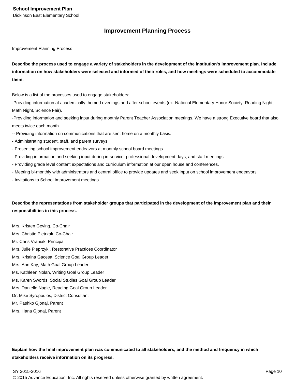## **Improvement Planning Process**

Improvement Planning Process

**Describe the process used to engage a variety of stakeholders in the development of the institution's improvement plan. Include information on how stakeholders were selected and informed of their roles, and how meetings were scheduled to accommodate them.** 

Below is a list of the processes used to engage stakeholders:

-Providing information at academically themed evenings and after school events (ex. National Elementary Honor Society, Reading Night, Math Night, Science Fair).

-Providing information and seeking input during monthly Parent Teacher Association meetings. We have a strong Executive board that also meets twice each month.

- -- Providing information on communications that are sent home on a monthly basis.
- Administrating student, staff, and parent surveys.
- Presenting school improvement endeavors at monthly school board meetings.
- Providing information and seeking input during in-service, professional development days, and staff meetings.
- Providing grade level content expectations and curriculum information at our open house and conferences.
- Meeting bi-monthly with administrators and central office to provide updates and seek input on school improvement endeavors.
- Invitations to School Improvement meetings.

**Describe the representations from stakeholder groups that participated in the development of the improvement plan and their responsibilities in this process.**

- Mrs. Kristen Geving, Co-Chair Mrs. Christie Pietrzak, Co-Chair Mr. Chris Vraniak, Principal Mrs. Julie Pieprzyk , Restorative Practices Coordinator Mrs. Kristina Gacesa, Science Goal Group Leader Mrs. Ann Kay, Math Goal Group Leader Ms. Kathleen Nolan, Writing Goal Group Leader Ms. Karen Swords, Social Studies Goal Group Leader Mrs. Danielle Nagle, Reading Goal Group Leader Dr. Mike Syropoulos, District Consultant
- Mr. Pashko Gjonaj, Parent
- Mrs. Hana Gjonaj, Parent

**Explain how the final improvement plan was communicated to all stakeholders, and the method and frequency in which stakeholders receive information on its progress.**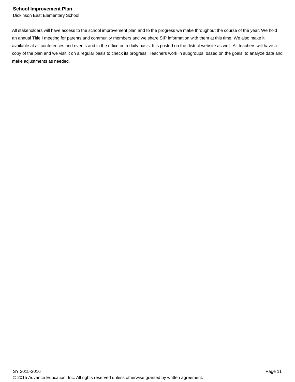Dickinson East Elementary School

All stakeholders will have access to the school improvement plan and to the progress we make throughout the course of the year. We hold an annual Title I meeting for parents and community members and we share SIP information with them at this time. We also make it available at all conferences and events and in the office on a daily basis. It is posted on the district website as well. All teachers will have a copy of the plan and we visit it on a regular basis to check its progress. Teachers work in subgroups, based on the goals, to analyze data and make adjustments as needed.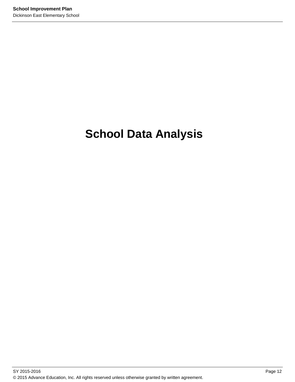# **School Data Analysis**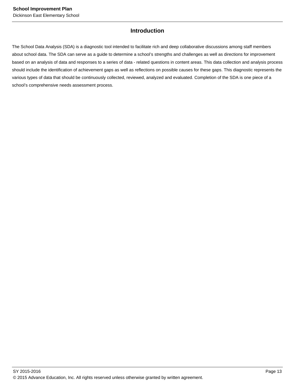## **Introduction**

The School Data Analysis (SDA) is a diagnostic tool intended to facilitate rich and deep collaborative discussions among staff members about school data. The SDA can serve as a guide to determine a school's strengths and challenges as well as directions for improvement based on an analysis of data and responses to a series of data - related questions in content areas. This data collection and analysis process should include the identification of achievement gaps as well as reflections on possible causes for these gaps. This diagnostic represents the various types of data that should be continuously collected, reviewed, analyzed and evaluated. Completion of the SDA is one piece of a school's comprehensive needs assessment process.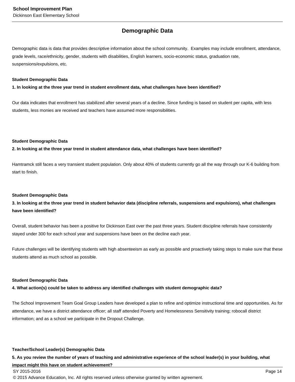## **Demographic Data**

Demographic data is data that provides descriptive information about the school community. Examples may include enrollment, attendance, grade levels, race/ethnicity, gender, students with disabilities, English learners, socio-economic status, graduation rate, suspensions/expulsions, etc.

#### **Student Demographic Data**

**1. In looking at the three year trend in student enrollment data, what challenges have been identified?**

Our data indicates that enrollment has stabilized after several years of a decline. Since funding is based on student per capita, with less students, less monies are received and teachers have assumed more responsibilities.

#### **Student Demographic Data**

**2. In looking at the three year trend in student attendance data, what challenges have been identified?**

Hamtramck still faces a very transient student population. Only about 40% of students currently go all the way through our K-6 building from start to finish.

#### **Student Demographic Data**

**3. In looking at the three year trend in student behavior data (discipline referrals, suspensions and expulsions), what challenges have been identified?**

Overall, student behavior has been a positive for Dickinson East over the past three years. Student discipline referrals have consistently stayed under 300 for each school year and suspensions have been on the decline each year.

Future challenges will be identifying students with high absenteeism as early as possible and proactively taking steps to make sure that these students attend as much school as possible.

#### **Student Demographic Data**

#### **4. What action(s) could be taken to address any identified challenges with student demographic data?**

The School Improvement Team Goal Group Leaders have developed a plan to refine and optimize instructional time and opportunities. As for attendance, we have a district attendance officer; all staff attended Poverty and Homelessness Sensitivity training; robocall district information; and as a school we participate in the Dropout Challenge.

#### **Teacher/School Leader(s) Demographic Data**

#### **5. As you review the number of years of teaching and administrative experience of the school leader(s) in your building, what**

#### **impact might this have on student achievement?**

#### SY 2015-2016 Page 14

© 2015 Advance Education, Inc. All rights reserved unless otherwise granted by written agreement.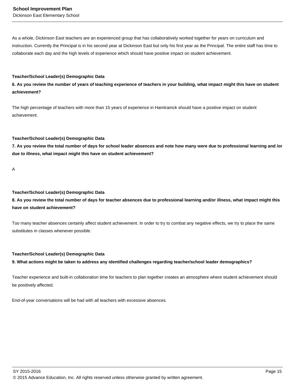As a whole, Dickinson East teachers are an experienced group that has collaboratively worked together for years on curriculum and instruction. Currently the Principal is in his second year at Dickinson East but only his first year as the Principal. The entire staff has time to collaborate each day and the high levels of experience which should have positive impact on student achievement.

#### **Teacher/School Leader(s) Demographic Data**

**6. As you review the number of years of teaching experience of teachers in your building, what impact might this have on student achievement?**

The high percentage of teachers with more than 15 years of experience in Hamtramck should have a positive impact on student achievement.

#### **Teacher/School Leader(s) Demographic Data**

**7. As you review the total number of days for school leader absences and note how many were due to professional learning and /or due to illness, what impact might this have on student achievement?**

A

#### **Teacher/School Leader(s) Demographic Data**

**8. As you review the total number of days for teacher absences due to professional learning and/or illness, what impact might this have on student achievement?**

Too many teacher absences certainly affect student achievement. In order to try to combat any negative effects, we try to place the same substitutes in classes whenever possible.

#### **Teacher/School Leader(s) Demographic Data**

**9. What actions might be taken to address any identified challenges regarding teacher/school leader demographics?**

Teacher experience and built-in collaboration time for teachers to plan together creates an atmosphere where student achievement should be positively affected.

End-of-year conversations will be had with all teachers with excessive absences.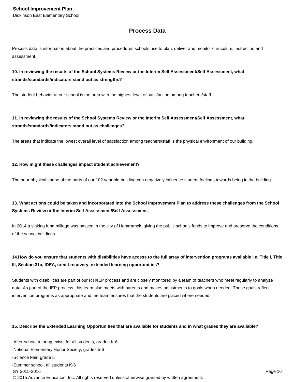## **Process Data**

Process data is information about the practices and procedures schools use to plan, deliver and monitor curriculum, instruction and assessment.

### **10. In reviewing the results of the School Systems Review or the Interim Self Assessment/Self Assessment, what strands/standards/indicators stand out as strengths?**

The student behavior at our school is the area with the highest level of satisfaction among teachers/staff.

### **11. In reviewing the results of the School Systems Review or the Interim Self Assessment/Self Assessment, what strands/standards/indicators stand out as challenges?**

The areas that indicate the lowest overall level of satisfaction among teachers/staff is the physical environment of our building.

#### **12. How might these challenges impact student achievement?**

The poor physical shape of the parts of our 102 year old building can negatively influence student feelings towards being in the building.

## **13. What actions could be taken and incorporated into the School Improvement Plan to address these challenges from the School Systems Review or the Interim Self Assessment/Self Assessment.**

In 2014 a sinking fund millage was passed in the city of Hamtramck, giving the public schools funds to improve and preserve the conditions of the school buildings.

## 14. How do you ensure that students with disabilities have access to the full array of intervention programs available i.e. Title I, Title **III, Section 31a, IDEA, credit recovery, extended learning opportunities?**

Students with disabilities are part of our RTI/IEP process and are closely monitored by a team of teachers who meet regularly to analyze data. As part of the IEP process, this team also meets with parents and makes adjustments to goals when needed. These goals reflect intervention programs as appropriate and the team ensures that the students are placed where needed.

#### **15. Describe the Extended Learning Opportunities that are available for students and in what grades they are available?**

-After-school tutoring exists for all students, grades K-6

-National Elementary Honor Society, grades 5-6

-Science Fair, grade 5

-Summer school, all students K-6

 $\,$  SY 2015-2016  $\,$  Page 16  $\,$  Page 16  $\,$  Page 16  $\,$  Page 16  $\,$  Page 16  $\,$  Page 16  $\,$  Page 16  $\,$  Page 16  $\,$  Page 16  $\,$  Page 16  $\,$  Page 16  $\,$  Page 16  $\,$  Page 16  $\,$  Page 16  $\,$  Page 16  $\,$  Pag

© 2015 Advance Education, Inc. All rights reserved unless otherwise granted by written agreement.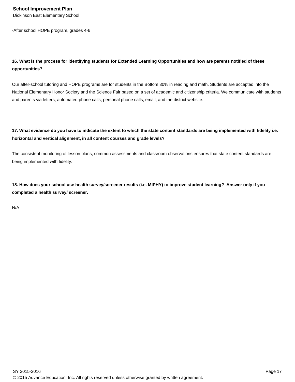-After school HOPE program, grades 4-6

## **16. What is the process for identifying students for Extended Learning Opportunities and how are parents notified of these opportunities?**

Our after-school tutoring and HOPE programs are for students in the Bottom 30% in reading and math. Students are accepted into the National Elementary Honor Society and the Science Fair based on a set of academic and citizenship criteria. We communicate with students and parents via letters, automated phone calls, personal phone calls, email, and the district website.

## **17. What evidence do you have to indicate the extent to which the state content standards are being implemented with fidelity i.e. horizontal and vertical alignment, in all content courses and grade levels?**

The consistent monitoring of lesson plans, common assessments and classroom observations ensures that state content standards are being implemented with fidelity.

**18. How does your school use health survey/screener results (i.e. MIPHY) to improve student learning? Answer only if you completed a health survey/ screener.**

N/A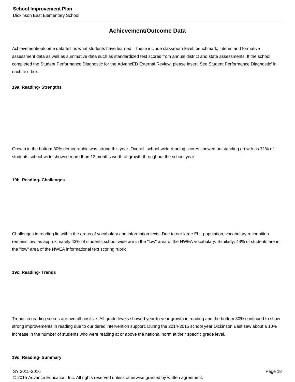## **Achievement/Outcome Data**

Achievement/outcome data tell us what students have learned. These include classroom-level, benchmark, interim and formative assessment data as well as summative data such as standardized test scores from annual district and state assessments. If the school completed the Student Performance Diagnostic for the AdvancED External Review, please insert 'See Student Performance Diagnostic' in each text box.

#### **19a. Reading- Strengths**

Growth in the bottom 30% demographic was strong this year. Overall, school-wide reading scores showed outstanding growth as 71% of students school-wide showed more than 12 months worth of growth throughout the school year.

#### **19b. Reading- Challenges**

Challenges in reading lie within the areas of vocabulary and information texts. Due to our large ELL population, vocabulary recognition remains low, as approximately 43% of students school-wide are in the "low" area of the NWEA vocabulary. Similarly, 44% of students are in the "low" area of the NWEA informational text scoring rubric.

#### **19c. Reading- Trends**

Trends in reading scores are overall positive. All grade levels showed year-to-year growth in reading and the bottom 30% continued to show strong improvements in reading due to our tiered intervention support. During the 2014-2015 school year Dickinson East saw about a 10% increase in the number of students who were reading at or above the national norm at their specific grade level.

#### **19d. Reading- Summary**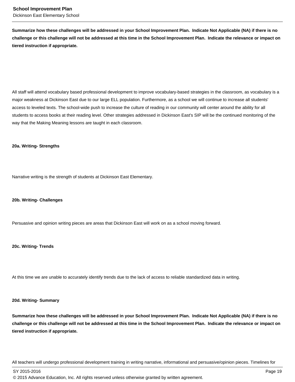**Summarize how these challenges will be addressed in your School Improvement Plan. Indicate Not Applicable (NA) if there is no challenge or this challenge will not be addressed at this time in the School Improvement Plan. Indicate the relevance or impact on tiered instruction if appropriate.**

All staff will attend vocabulary based professional development to improve vocabulary-based strategies in the classroom, as vocabulary is a major weakness at Dickinson East due to our large ELL population. Furthermore, as a school we will continue to increase all students' access to leveled texts. The school-wide push to increase the culture of reading in our community will center around the ability for all students to access books at their reading level. Other strategies addressed in Dickinson East's SIP will be the continued monitoring of the way that the Making Meaning lessons are taught in each classroom.

#### **20a. Writing- Strengths**

Narrative writing is the strength of students at Dickinson East Elementary.

#### **20b. Writing- Challenges**

Persuasive and opinion writing pieces are areas that Dickinson East will work on as a school moving forward.

#### **20c. Writing- Trends**

At this time we are unable to accurately identify trends due to the lack of access to reliable standardized data in writing.

#### **20d. Writing- Summary**

**Summarize how these challenges will be addressed in your School Improvement Plan. Indicate Not Applicable (NA) if there is no challenge or this challenge will not be addressed at this time in the School Improvement Plan. Indicate the relevance or impact on tiered instruction if appropriate.**

All teachers will undergo professional development training in writing narrative, informational and persuasive/opinion pieces. Timelines for

SY 2015-2016 Page 19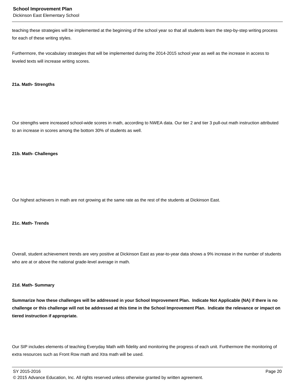#### **School Improvement Plan**

Dickinson East Elementary School

teaching these strategies will be implemented at the beginning of the school year so that all students learn the step-by-step writing process for each of these writing styles.

Furthermore, the vocabulary strategies that will be implemented during the 2014-2015 school year as well as the increase in access to leveled texts will increase writing scores.

#### **21a. Math- Strengths**

Our strengths were increased school-wide scores in math, according to NWEA data. Our tier 2 and tier 3 pull-out math instruction attributed to an increase in scores among the bottom 30% of students as well.

#### **21b. Math- Challenges**

Our highest achievers in math are not growing at the same rate as the rest of the students at Dickinson East.

#### **21c. Math- Trends**

Overall, student achievement trends are very positive at Dickinson East as year-to-year data shows a 9% increase in the number of students who are at or above the national grade-level average in math.

#### **21d. Math- Summary**

**Summarize how these challenges will be addressed in your School Improvement Plan. Indicate Not Applicable (NA) if there is no challenge or this challenge will not be addressed at this time in the School Improvement Plan. Indicate the relevance or impact on tiered instruction if appropriate.**

Our SIP includes elements of teaching Everyday Math with fidelity and monitoring the progress of each unit. Furthermore the monitoring of extra resources such as Front Row math and Xtra math will be used.

SY 2015-2016 Page 20

© 2015 Advance Education, Inc. All rights reserved unless otherwise granted by written agreement.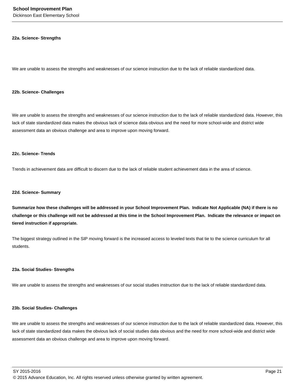Dickinson East Elementary School

#### **22a. Science- Strengths**

We are unable to assess the strengths and weaknesses of our science instruction due to the lack of reliable standardized data.

#### **22b. Science- Challenges**

We are unable to assess the strengths and weaknesses of our science instruction due to the lack of reliable standardized data. However, this lack of state standardized data makes the obvious lack of science data obvious and the need for more school-wide and district wide assessment data an obvious challenge and area to improve upon moving forward.

#### **22c. Science- Trends**

Trends in achievement data are difficult to discern due to the lack of reliable student achievement data in the area of science.

#### **22d. Science- Summary**

**Summarize how these challenges will be addressed in your School Improvement Plan. Indicate Not Applicable (NA) if there is no challenge or this challenge will not be addressed at this time in the School Improvement Plan. Indicate the relevance or impact on tiered instruction if appropriate.**

The biggest strategy outlined in the SIP moving forward is the increased access to leveled texts that tie to the science curriculum for all students.

#### **23a. Social Studies- Strengths**

We are unable to assess the strengths and weaknesses of our social studies instruction due to the lack of reliable standardized data.

#### **23b. Social Studies- Challenges**

We are unable to assess the strengths and weaknesses of our science instruction due to the lack of reliable standardized data. However, this lack of state standardized data makes the obvious lack of social studies data obvious and the need for more school-wide and district wide assessment data an obvious challenge and area to improve upon moving forward.

SY 2015-2016 Page 21

© 2015 Advance Education, Inc. All rights reserved unless otherwise granted by written agreement.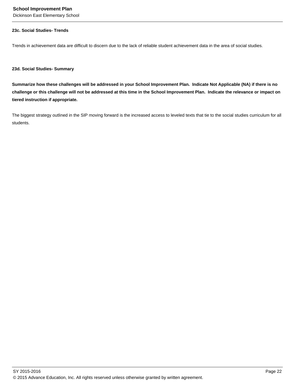Dickinson East Elementary School

#### **23c. Social Studies- Trends**

Trends in achievement data are difficult to discern due to the lack of reliable student achievement data in the area of social studies.

**23d. Social Studies- Summary**

**Summarize how these challenges will be addressed in your School Improvement Plan. Indicate Not Applicable (NA) if there is no challenge or this challenge will not be addressed at this time in the School Improvement Plan. Indicate the relevance or impact on tiered instruction if appropriate.**

The biggest strategy outlined in the SIP moving forward is the increased access to leveled texts that tie to the social studies curriculum for all students.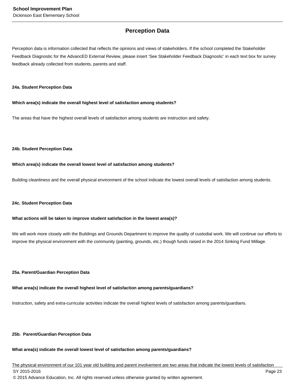## **Perception Data**

Perception data is information collected that reflects the opinions and views of stakeholders. If the school completed the Stakeholder Feedback Diagnostic for the AdvancED External Review, please insert 'See Stakeholder Feedback Diagnostic' in each text box for survey feedback already collected from students, parents and staff.

#### **24a. Student Perception Data**

#### **Which area(s) indicate the overall highest level of satisfaction among students?**

The areas that have the highest overall levels of satisfaction among students are instruction and safety.

#### **24b. Student Perception Data**

#### **Which area(s) indicate the overall lowest level of satisfaction among students?**

Building cleanliness and the overall physical environment of the school indicate the lowest overall levels of satisfaction among students.

#### **24c. Student Perception Data**

#### **What actions will be taken to improve student satisfaction in the lowest area(s)?**

We will work more closely with the Buildings and Grounds Department to improve the quality of custodial work. We will continue our efforts to improve the physical environment with the community (painting, grounds, etc.) though funds raised in the 2014 Sinking Fund Millage.

#### **25a. Parent/Guardian Perception Data**

### **What area(s) indicate the overall highest level of satisfaction among parents/guardians?**

Instruction, safety and extra-curricular activities indicate the overall highest levels of satisfaction among parents/guardians.

### **25b. Parent/Guardian Perception Data**

### **What area(s) indicate the overall lowest level of satisfaction among parents/guardians?**

The physical environment of our 101 year old building and parent involvement are two areas that indicate the lowest levels of satisfaction SY 2015-2016 Page 23 © 2015 Advance Education, Inc. All rights reserved unless otherwise granted by written agreement.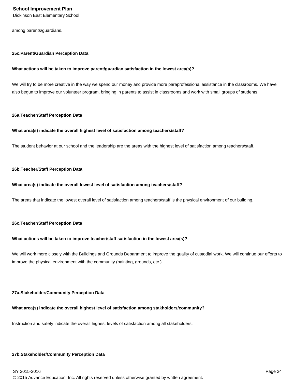Dickinson East Elementary School

among parents/guardians.

#### **25c. Parent/Guardian Perception Data**

#### **What actions will be taken to improve parent/guardian satisfaction in the lowest area(s)?**

We will try to be more creative in the way we spend our money and provide more paraprofessional assistance in the classrooms. We have also begun to improve our volunteer program, bringing in parents to assist in classrooms and work with small groups of students.

#### **26a. Teacher/Staff Perception Data**

#### **What area(s) indicate the overall highest level of satisfaction among teachers/staff?**

The student behavior at our school and the leadership are the areas with the highest level of satisfaction among teachers/staff.

#### **26b. Teacher/Staff Perception Data**

#### **What area(s) indicate the overall lowest level of satisfaction among teachers/staff?**

The areas that indicate the lowest overall level of satisfaction among teachers/staff is the physical environment of our building.

#### **26c. Teacher/Staff Perception Data**

#### **What actions will be taken to improve teacher/staff satisfaction in the lowest area(s)?**

We will work more closely with the Buildings and Grounds Department to improve the quality of custodial work. We will continue our efforts to improve the physical environment with the community (painting, grounds, etc.).

#### **27a. Stakeholder/Community Perception Data**

#### **What area(s) indicate the overall highest level of satisfaction among stakholders/community?**

Instruction and safety indicate the overall highest levels of satisfaction among all stakeholders.

#### **27b. Stakeholder/Community Perception Data**

SY 2015-2016 Page 24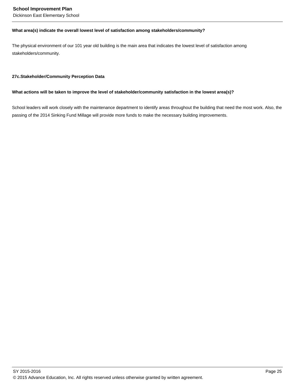#### **School Improvement Plan**

Dickinson East Elementary School

#### **What area(s) indicate the overall lowest level of satisfaction among stakeholders/community?**

The physical environment of our 101 year old building is the main area that indicates the lowest level of satisfaction among stakeholders/community.

#### **27c. Stakeholder/Community Perception Data**

#### **What actions will be taken to improve the level of stakeholder/community satisfaction in the lowest area(s)?**

School leaders will work closely with the maintenance department to identify areas throughout the building that need the most work. Also, the passing of the 2014 Sinking Fund Millage will provide more funds to make the necessary building improvements.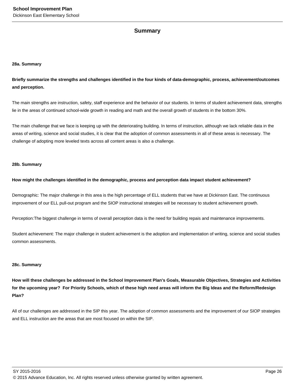### **Summary**

#### **28a. Summary**

**Briefly summarize the strengths and challenges identified in the four kinds of data-demographic, process, achievement/outcomes and perception.**

The main strengths are instruction, safety, staff experience and the behavior of our students. In terms of student achievement data, strengths lie in the areas of continued school-wide growth in reading and math and the overall growth of students in the bottom 30%.

The main challenge that we face is keeping up with the deteriorating building. In terms of instruction, although we lack reliable data in the areas of writing, science and social studies, it is clear that the adoption of common assessments in all of these areas is necessary. The challenge of adopting more leveled texts across all content areas is also a challenge.

#### **28b. Summary**

#### **How might the challenges identified in the demographic, process and perception data impact student achievement?**

Demographic: The major challenge in this area is the high percentage of ELL students that we have at Dickinson East. The continuous improvement of our ELL pull-out program and the SIOP instructional strategies will be necessary to student achievement growth.

Perception:The biggest challenge in terms of overall perception data is the need for building repais and maintenance improvements.

Student achievement: The major challenge in student achievement is the adoption and implementation of writing, science and social studies common assessments.

#### **28c. Summary**

**How will these challenges be addressed in the School Improvement Plan's Goals, Measurable Objectives, Strategies and Activities for the upcoming year? For Priority Schools, which of these high need areas will inform the Big Ideas and the Reform/Redesign Plan?**

All of our challenges are addressed in the SIP this year. The adoption of common assessments and the improvement of our SIOP strategies and ELL instruction are the areas that are most focused on within the SIP.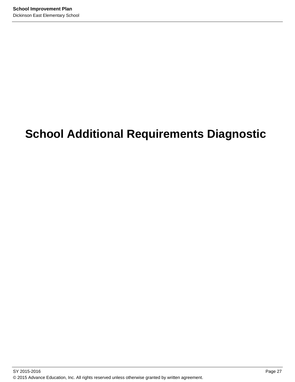# **School Additional Requirements Diagnostic**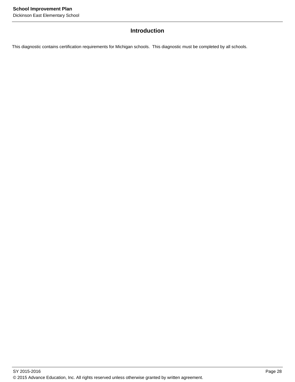## **Introduction**

This diagnostic contains certification requirements for Michigan schools. This diagnostic must be completed by all schools.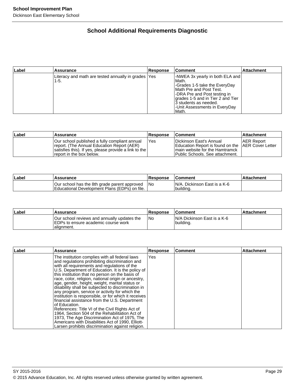## **School Additional Requirements Diagnostic**

| ∣Label | <b>Assurance</b>                                             | Response | ∣Comment∶                                                                                                                                                                                                                                        | <b>Attachment</b> |
|--------|--------------------------------------------------------------|----------|--------------------------------------------------------------------------------------------------------------------------------------------------------------------------------------------------------------------------------------------------|-------------------|
|        | Literacy and math are tested annually in grades  Yes<br>1-5. |          | NWEA 3x yearly in both ELA and<br>lMath.<br>-Grades 1-5 take the EveryDay<br>IMath Pre and Post Test.<br>I-DRA Pre and Post testing in<br>grades 1-5 and in Tier 2 and Tier<br>13 students as needed.<br>-Unit Assessments in EveryDay<br>lMath. |                   |

| ∣Label | <b>Assurance</b>                                                                                                                                                                  | <b>Response</b> | <b>Comment</b>                                                                                                                                                | <b>Attachment</b>  |
|--------|-----------------------------------------------------------------------------------------------------------------------------------------------------------------------------------|-----------------|---------------------------------------------------------------------------------------------------------------------------------------------------------------|--------------------|
|        | IOur school published a fully compliant annual<br>report. (The Annual Education Report (AER)<br>satisfies this). If yes, please provide a link to the<br>report in the box below. | 'Yes            | IDickinson East's Annual<br><b>IEducation Report is found on the IAER Cover Letter</b><br>I main website for the Hamtramck<br>Public Schools. See attachment. | <b>IAER Report</b> |

| ∣Label | Assurance                                                                                     | Response | <b>Comment</b>                              | ⊪Attachment |
|--------|-----------------------------------------------------------------------------------------------|----------|---------------------------------------------|-------------|
|        | Our school has the 8th grade parent approved<br>Educational Development Plans (EDPs) on file. | l No     | IN/A. Dickinson East is a K-6<br>l buildina |             |

| ∣Label | Assurance                                                                                          | <b>Response</b> | <b>Comment</b>                            | <b>Attachment</b> |
|--------|----------------------------------------------------------------------------------------------------|-----------------|-------------------------------------------|-------------------|
|        | Our school reviews and annually updates the<br>IEDPs to ensure academic course work<br>lalignment. | l No            | IN/A Dickinson East is a K-6<br>building. |                   |

| Label | <b>Assurance</b>                                                                                                                                                                                                                                                                                                                                                                                                                                                                                                                                                                                                                                                                                                                                                                                                                                                     | <b>Response</b> | lComment | <b>Attachment</b> |
|-------|----------------------------------------------------------------------------------------------------------------------------------------------------------------------------------------------------------------------------------------------------------------------------------------------------------------------------------------------------------------------------------------------------------------------------------------------------------------------------------------------------------------------------------------------------------------------------------------------------------------------------------------------------------------------------------------------------------------------------------------------------------------------------------------------------------------------------------------------------------------------|-----------------|----------|-------------------|
|       | The institution complies with all federal laws<br>and regulations prohibiting discrimination and<br>with all requirements and regulations of the<br>U.S. Department of Education. It is the policy of<br>this institution that no person on the basis of<br>race, color, religion, national origin or ancestry,<br>age, gender, height, weight, marital status or<br>disability shall be subjected to discrimination in<br>any program, service or activity for which the<br>institution is responsible, or for which it receives<br>financial assistance from the U.S. Department<br>lof Education.<br>References: Title VI of the Civil Rights Act of<br>1964, Section 504 of the Rehabilitation Act of<br>1973, The Age Discrimination Act of 1975, The<br>Americans with Disabilities Act of 1990, Elliott-<br>Larsen prohibits discrimination against religion. | Yes             |          |                   |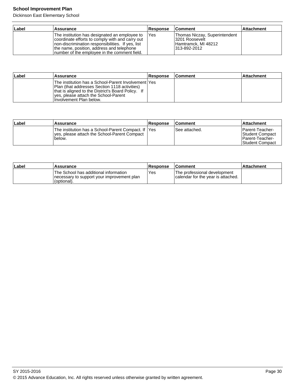## **School Improvement Plan**

Dickinson East Elementary School

| Label | Assurance                                                                                                                                                                                                                                            | <b>Response</b> | <b>Comment</b>                                                                          | <b>Attachment</b> |
|-------|------------------------------------------------------------------------------------------------------------------------------------------------------------------------------------------------------------------------------------------------------|-----------------|-----------------------------------------------------------------------------------------|-------------------|
|       | The institution has designated an employee to<br>coordinate efforts to comply with and carry out<br>Inon-discrimination responsibilities. If yes, list<br>the name, position, address and telephone<br>Inumber of the employee in the comment field. | <b>IYes</b>     | Thomas Niczay, Superintendent<br>3201 Roosevelt<br>Hamtramck, MI 48212<br>1313-892-2012 |                   |

| Label | Assurance                                                                                                                                                                                                                       | <b>Response</b> | ∣Comment | <b>Attachment</b> |
|-------|---------------------------------------------------------------------------------------------------------------------------------------------------------------------------------------------------------------------------------|-----------------|----------|-------------------|
|       | The institution has a School-Parent Involvement lYes<br>IPlan (that addresses Section 1118 activities)<br>that is aligned to the District's Board Policy. If<br>yes, please attach the School-Parent<br>Involvement Plan below. |                 |          |                   |

| ∣Label | Assurance                                                                                                        | Response | <b>Comment</b>  | ∣Attachment                                                                |
|--------|------------------------------------------------------------------------------------------------------------------|----------|-----------------|----------------------------------------------------------------------------|
|        | The institution has a School-Parent Compact. If IYes<br>Ives, please attach the School-Parent Compact<br>'below. |          | l See attached. | IParent-Teacher-<br>Student Compact<br>IParent-Teacher-<br>Student Compact |

| ∣Label | Assurance                                                                                           | Response | <b>Comment</b>                                                     | ⊺Attachment |
|--------|-----------------------------------------------------------------------------------------------------|----------|--------------------------------------------------------------------|-------------|
|        | The School has additional information<br>Inecessary to support your improvement plan<br>(optional). | Yes      | The professional development<br>calendar for the year is attached. |             |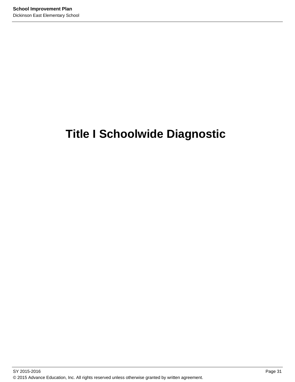# **Title I Schoolwide Diagnostic**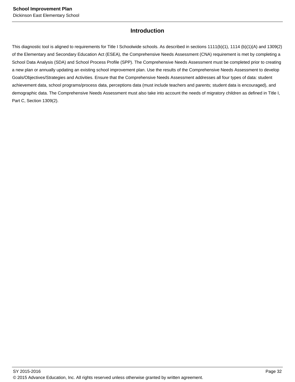## **Introduction**

This diagnostic tool is aligned to requirements for Title I Schoolwide schools. As described in sections 1111(b)(1), 1114 (b)(1)(A) and 1309(2) of the Elementary and Secondary Education Act (ESEA), the Comprehensive Needs Assessment (CNA) requirement is met by completing a School Data Analysis (SDA) and School Process Profile (SPP). The Comprehensive Needs Assessment must be completed prior to creating a new plan or annually updating an existing school improvement plan. Use the results of the Comprehensive Needs Assessment to develop Goals/Objectives/Strategies and Activities. Ensure that the Comprehensive Needs Assessment addresses all four types of data: student achievement data, school programs/process data, perceptions data (must include teachers and parents; student data is encouraged), and demographic data. The Comprehensive Needs Assessment must also take into account the needs of migratory children as defined in Title I, Part C, Section 1309(2).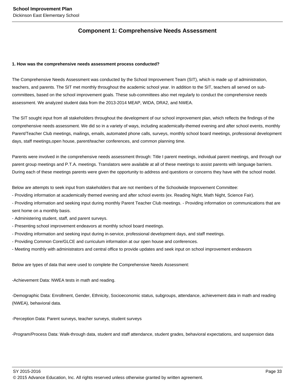## **Component 1: Comprehensive Needs Assessment**

#### **1. How was the comprehensive needs assessment process conducted?**

The Comprehensive Needs Assessment was conducted by the School Improvement Team (SIT), which is made up of administration, teachers, and parents. The SIT met monthly throughout the academic school year. In addition to the SIT, teachers all served on subcommittees, based on the school improvement goals. These sub-committees also met regularly to conduct the comprehensive needs assessment. We analyzed student data from the 2013-2014 MEAP, WIDA, DRA2, and NWEA.

The SIT sought input from all stakeholders throughout the development of our school improvement plan, which reflects the findings of the comprehensive needs assessment. We did so in a variety of ways, including academically-themed evening and after school events, monthly Parent/Teacher Club meetings, mailings, emails, automated phone calls, surveys, monthly school board meetings, professional development days, staff meetings,open house, parent/teacher conferences, and common planning time.

Parents were involved in the comprehensive needs assessment through: Title I parent meetings, individual parent meetings, and through our parent group meetings and P.T.A. meetings. Translators were available at all of these meetings to assist parents with language barriers. During each of these meetings parents were given the opportunity to address and questions or concerns they have with the school model.

Below are attempts to seek input from stakeholders that are not members of the Schoolwide Improvement Committee:

- Providing information at academically themed evening and after school events (ex. Reading Night, Math Night, Science Fair).

- Providing information and seeking input during monthly Parent Teacher Club meetings. - Providing information on communications that are sent home on a monthly basis.

- Administering student, staff, and parent surveys.
- Presenting school improvement endeavors at monthly school board meetings.
- Providing information and seeking input during in-service, professional development days, and staff meetings.
- Providing Common Core/GLCE and curriculum information at our open house and conferences.
- Meeting monthly with administrators and central office to provide updates and seek input on school improvement endeavors

Below are types of data that were used to complete the Comprehensive Needs Assessment:

-Achievement Data: NWEA tests in math and reading.

-Demographic Data: Enrollment, Gender, Ethnicity, Socioeconomic status, subgroups, attendance, achievement data in math and reading (NWEA), behavioral data.

-Perception Data: Parent surveys, teacher surveys, student surveys

-Program/Process Data: Walk-through data, student and staff attendance, student grades, behavioral expectations, and suspension data

SY 2015-2016 Page 33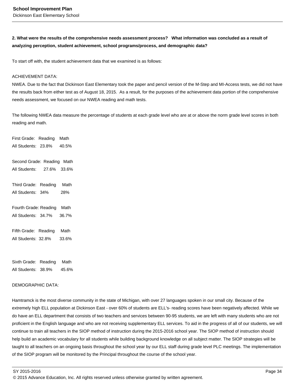## **2. What were the results of the comprehensive needs assessment process? What information was concluded as a result of analyzing perception, student achievement, school programs/process, and demographic data?**

To start off with, the student achievement data that we examined is as follows:

#### ACHIEVEMENT DATA:

NWEA. Due to the fact that Dickinson East Elementary took the paper and pencil version of the M-Step and MI-Access tests, we did not have the results back from either test as of August 18, 2015. As a result, for the purposes of the achievement data portion of the comprehensive needs assessment, we focused on our NWEA reading and math tests.

The following NWEA data measure the percentage of students at each grade level who are at or above the norm grade level scores in both reading and math.

First Grade: Reading Math All Students: 23.8% 40.5% Second Grade: Reading Math All Students: 27.6% 33.6% Third Grade: Reading Math All Students: 34% 28% Fourth Grade: Reading Math All Students: 34.7% 36.7% Fifth Grade: Reading Math All Students: 32.8% 33.6%

Sixth Grade: Reading Math All Students: 38.9% 45.6%

#### DEMOGRAPHIC DATA:

Hamtramck is the most diverse community in the state of Michigan, with over 27 languages spoken in our small city. Because of the extremely high ELL population at Dickinson East - over 60% of students are ELL's- reading scores have been negatively affected. While we do have an ELL department that consists of two teachers and services between 90-95 students, we are left with many students who are not proficient in the English language and who are not receiving supplementary ELL services. To aid in the progress of all of our students, we will continue to train all teachers in the SIOP method of instruction during the 2015-2016 school year. The SIOP method of instruction should help build an academic vocabulary for all students while building background knowledge on all subject matter. The SIOP strategies will be taught to all teachers on an ongoing basis throughout the school year by our ELL staff during grade level PLC meetings. The implementation of the SIOP program will be monitored by the Principal throughout the course of the school year.

SY 2015-2016 Page 34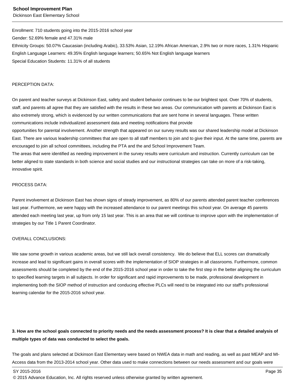#### **School Improvement Plan**

Dickinson East Elementary School

Enrollment: 710 students going into the 2015-2016 school year Gender: 52.69% female and 47.31% male Ethnicity Groups: 50.07% Caucasian (including Arabic), 33.53% Asian, 12.19% African American, 2.9% two or more races, 1.31% Hispanic English Language Learners: 49.35% English language learners; 50.65% Not English language learners Special Education Students: 11.31% of all students

#### PERCEPTION DATA:

On parent and teacher surveys at Dickinson East, safety and student behavior continues to be our brightest spot. Over 70% of students, staff, and parents all agree that they are satisfied with the results in these two areas. Our communication with parents at Dickinson East is also extremely strong, which is evidenced by our written communications that are sent home in several languages. These written communications include individualized assessment data and meeting notifications that provide

opportunities for parental involvement. Another strength that appeared on our survey results was our shared leadership model at Dickinson East. There are various leadership committees that are open to all staff members to join and to give their input. At the same time, parents are encouraged to join all school committees, including the PTA and the and School Improvement Team.

The areas that were identified as needing improvement in the survey results were curriculum and instruction. Currently curriculum can be better aligned to state standards in both science and social studies and our instructional strategies can take on more of a risk-taking, innovative spirit.

#### PROCESS DATA:

Parent involvement at Dickinson East has shown signs of steady improvement, as 80% of our parents attended parent teacher conferences last year. Furthermore, we were happy with the increased attendance to our parent meetings this school year. On average 45 parents attended each meeting last year, up from only 15 last year. This is an area that we will continue to improve upon with the implementation of strategies by our Title 1 Parent Coordinator.

#### OVERALL CONCLUSIONS:

We saw some growth in various academic areas, but we still lack overall consistency. We do believe that ELL scores can dramatically increase and lead to significant gains in overall scores with the implementation of SIOP strategies in all classrooms. Furthermore, common assessments should be completed by the end of the 2015-2016 school year in order to take the first step in the better aligning the curriculum to specified learning targets in all subjects. In order for significant and rapid improvements to be made, professional development in implementing both the SIOP method of instruction and conducing effective PLCs will need to be integrated into our staff's professional learning calendar for the 2015-2016 school year.

## **3. How are the school goals connected to priority needs and the needs assessment process? It is clear that a detailed analysis of multiple types of data was conducted to select the goals.**

The goals and plans selected at Dickinson East Elementary were based on NWEA data in math and reading, as well as past MEAP and MI-Access data from the 2013-2014 school year. Other data used to make connections between our needs assessment and our goals were

<sup>© 2015</sup> Advance Education, Inc. All rights reserved unless otherwise granted by written agreement.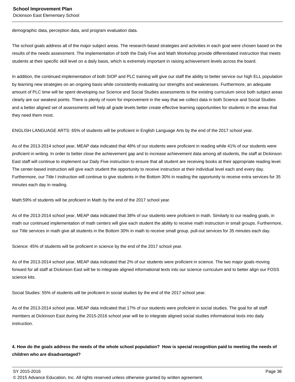demographic data, perception data, and program evaluation data.

The school goals address all of the major subject areas. The research-based strategies and activities in each goal were chosen based on the results of the needs assessment. The implementation of both the Daily Five and Math Workshop provide differentiated instruction that meets students at their specific skill level on a daily basis, which is extremely important in raising achievement levels across the board.

In addition, the continued implementation of both SIOP and PLC training will give our staff the ability to better service our high ELL population by learning new strategies on an ongoing basis while consistently evaluating our strengths and weaknesses. Furthermore, an adequate amount of PLC time will be spent developing our Science and Social Studies assessments to the existing curriculum since both subject areas clearly are our weakest points. There is plenty of room for improvement in the way that we collect data in both Science and Social Studies and a better aligned set of assessments will help all grade levels better create effective learning opportunities for students in the areas that they need them most.

ENGLISH LANGUAGE ARTS: 65% of students will be proficient in English Language Arts by the end of the 2017 school year.

As of the 2013-2014 school year, MEAP data indicated that 48% of our students were proficient in reading while 41% of our students were proficient in writing. In order to better close the achievement gap and to increase achievement data among all students, the staff at Dickinson East staff will continue to implement our Daily Five instruction to ensure that all student are receiving books at their appropriate reading level. The center-based instruction will give each student the opportunity to receive instruction at their individual level each and every day. Furthermore, our Title I instruction will continue to give students in the Bottom 30% in reading the opportunity to receive extra services for 35 minutes each day in reading.

Math:59% of students will be proficient in Math by the end of the 2017 school year.

As of the 2013-2014 school year, MEAP data indicated that 38% of our students were proficient in math. Similarly to our reading goals, in math our continued implementation of math centers will give each student the ability to receive math instruction in small groups. Furthermore, our Title services in math give all students in the Bottom 30% in math to receive small group, pull-out services for 35 minutes each day.

Science: 45% of students will be proficient in science by the end of the 2017 school year.

As of the 2013-2014 school year, MEAP data indicated that 2% of our students were proficient in science. The two major goals moving forward for all staff at Dickinson East will be to integrate aligned informational texts into our science curriculum and to better align our FOSS science kits.

Social Studies: 55% of students will be proficient in social studies by the end of the 2017 school year.

As of the 2013-2014 school year, MEAP data indicated that 17% of our students were proficient in social studies. The goal for all staff members at Dickinson East during the 2015-2016 school year will be to integrate aligned social studies informational texts into daily instruction.

**4. How do the goals address the needs of the whole school population? How is special recognition paid to meeting the needs of children who are disadvantaged?**

SY 2015-2016 Page 36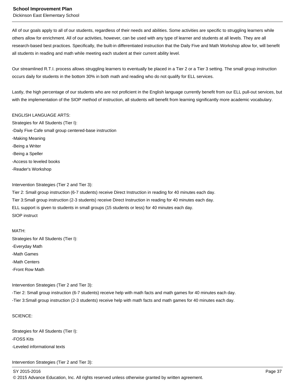#### **School Improvement Plan**

Dickinson East Elementary School

All of our goals apply to all of our students, regardless of their needs and abilities. Some activities are specific to struggling learners while others allow for enrichment. All of our activities, however, can be used with any type of learner and students at all levels. They are all research-based best practices. Specifically, the built-in differentiated instruction that the Daily Five and Math Workshop allow for, will benefit all students in reading and math while meeting each student at their current ability level.

Our streamlined R.T.I. process allows struggling learners to eventually be placed in a Tier 2 or a Tier 3 setting. The small group instruction occurs daily for students in the bottom 30% in both math and reading who do not qualify for ELL services.

Lastly, the high percentage of our students who are not proficient in the English language currently benefit from our ELL pull-out services, but with the implementation of the SIOP method of instruction, all students will benefit from learning significantly more academic vocabulary.

#### ENGLISH LANGUAGE ARTS:

Strategies for All Students (Tier I): -Daily Five Cafe small group centered-base instruction -Making Meaning -Being a Writer -Being a Speller -Access to leveled books -Reader's Workshop

#### Intervention Strategies (Tier 2 and Tier 3):

Tier 2: Small group instruction (6-7 students) receive Direct Instruction in reading for 40 minutes each day. Tier 3:Small group instruction (2-3 students) receive Direct Instruction in reading for 40 minutes each day. ELL support is given to students in small groups (15 students or less) for 40 minutes each day. SIOP instruct

#### MATH:

Strategies for All Students (Tier I): -Everyday Math -Math Games -Math Centers -Front Row Math

Intervention Strategies (Tier 2 and Tier 3):

-Tier 2: Small group instruction (6-7 students) receive help with math facts and math games for 40 minutes each day. -Tier 3:Small group instruction (2-3 students) receive help with math facts and math games for 40 minutes each day.

#### SCIENCE:

Strategies for All Students (Tier I): -FOSS Kits -Leveled informational texts

#### Intervention Strategies (Tier 2 and Tier 3):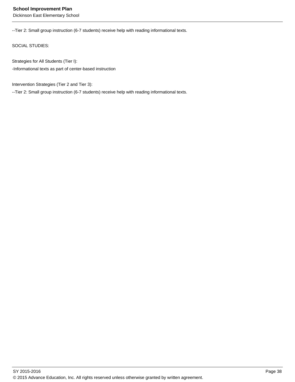--Tier 2: Small group instruction (6-7 students) receive help with reading informational texts.

SOCIAL STUDIES:

Strategies for All Students (Tier I):

-Informational texts as part of center-based instruction

Intervention Strategies (Tier 2 and Tier 3):

--Tier 2: Small group instruction (6-7 students) receive help with reading informational texts.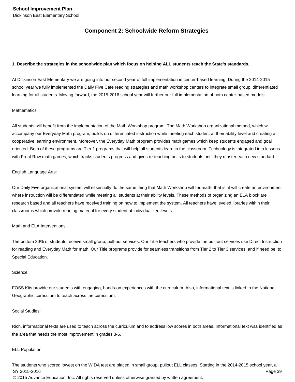## **Component 2: Schoolwide Reform Strategies**

#### **1. Describe the strategies in the schoolwide plan which focus on helping ALL students reach the State's standards.**

At Dickinson East Elementary we are going into our second year of full implementation in center-based learning. During the 2014-2015 school year we fully implemented the Daily Five Cafe reading strategies and math workshop centers to integrate small group, differentiated learning for all students. Moving forward, the 2015-2016 school year will further our full implementation of both center-based models.

#### Mathematics:

All students will benefit from the implementation of the Math Workshop program. The Math Workshop organizational method, which will accompany our Everyday Math program, builds on differentiated instruction while meeting each student at their ability level and creating a cooperative learning environment. Moreover, the Everyday Math program provides math games which keep students engaged and goal oriented. Both of these programs are Tier 1 programs that will help all students learn in the classroom. Technology is integrated into lessons with Front Row math games, which tracks students progress and gives re-teaching units to students until they master each new standard.

#### English Language Arts:

Our Daily Five organizational system will essentially do the same thing that Math Workshop will for math- that is, it will create an environment where instruction will be differentiated while meeting all students at their ability levels. These methods of organizing an ELA block are research based and all teachers have received training on how to implement the system. All teachers have leveled libraries within their classrooms which provide reading material for every student at individualized levels.

#### Math and ELA Interventions:

The bottom 30% of students receive small group, pull-out services. Our Title teachers who provide the pull-out services use Direct Instruction for reading and Everyday Math for math. Our Title programs provide for seamless transitions from Tier 2 to Tier 3 services, and if need be, to Special Education.

#### Science:

FOSS Kits provide our students with engaging, hands-on experiences with the curriculum. Also, informational text is linked to the National Geographic curriculum to teach across the curriculum.

#### Social Studies:

Rich, informational texts are used to teach across the curriculum and to address low scores in both areas. Informational text was identified as the area that needs the most improvement in grades 3-6.

#### ELL Population:

The students who scored lowest on the WIDA test are placed in small group, pullout ELL classes. Starting in the 2014-2015 school year, all SY 2015-2016 Page 39 © 2015 Advance Education, Inc. All rights reserved unless otherwise granted by written agreement.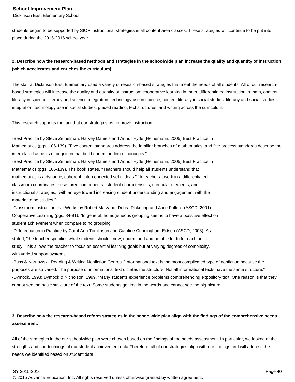students began to be supported by SIOP instructional strategies in all content area classes. These strategies will continue to be put into place during the 2015-2016 school year.

## **2. Describe how the research-based methods and strategies in the schoolwide plan increase the quality and quantity of instruction (which accelerates and enriches the curriculum).**

The staff at Dickinson East Elementary used a variety of research-based strategies that meet the needs of all students. All of our researchbased strategies will increase the quality and quantity of instruction: cooperative learning in math, differentiated instruction in math, content literacy in science, literacy and science integration, technology use in science, content literacy in social studies, literacy and social studies integration, technology use in social studies, guided reading, text structures, and writing across the curriculum.

This research supports the fact that our strategies will improve instruction:

-Best Practice by Steve Zemelman, Harvey Daniels and Arthur Hyde (Heinemann, 2005) Best Practice in Mathematics (pgs. 106-139). "Five content standards address the familiar branches of mathematics, and five process standards describe the interrelated aspects of cognition that build understanding of concepts."

-Best Practice by Steve Zemelman, Harvey Daniels and Arthur Hyde (Heinemann, 2005) Best Practice in Mathematics (pgs. 106-139). Ths book states, "Teachers should help all students understand that mathematics is a dynamic, coherent, interconnected set if ideas." "A teacher at work in a differentiated classroom coordinates these three components...student characteristics, curricular elements, and instructional strategies...with an eye toward increasing student understanding and engagement with the material to be studies."

-Classroom Instruction that Works by Robert Marzano, Debra Pickering and Jane Pollock (ASCD, 2001) Cooperative Learning (pgs. 84-91). "In general, homogeneous grouping seems to have a possitive effect on student achievement when compare to no grouping."

-Differentiation in Practice by Carol Ann Tomlinson and Caroline Cunningham Eidson (ASCD, 2003). As stated, "the teacher specifies what students should know, understand and be able to do for each unit of study. This allows the teacher to focus on essential learning goals but at varying degrees of complexity, with varied support systems."

-Buss & Karnowski, Reading & Writing Nonfiction Genres. "Informational text is the most complicated type of nonfiction because the purposes are so varied. The purpose of informational text dictates the structure. Not all informational texts have the same structure." -Dymock, 1998; Dymock & Nicholson, 1999. "Many students experience problems comprehending expository text. One reason is that they cannot see the basic structure of the text. Some students get lost in the words and cannot see the big picture."

## **3. Describe how the research-based reform strategies in the schoolwide plan align with the findings of the comprehensive needs assessment.**

All of the strategies in the our schoolwide plan were chosen based on the findings of the needs assessment. In particular, we looked at the strengths and shortcomings of our student achievement data Therefore, all of our strategies align with our findings and will address the needs we identified based on student data.

<sup>© 2015</sup> Advance Education, Inc. All rights reserved unless otherwise granted by written agreement.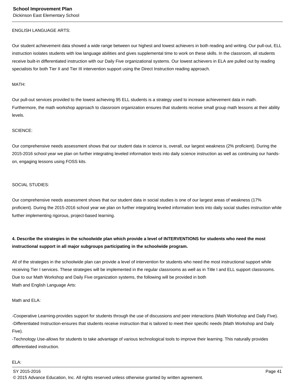#### ENGLISH LANGUAGE ARTS:

Our student achievement data showed a wide range between our highest and lowest achievers in both reading and writing. Our pull-out, ELL instruction isolates students with low language abilities and gives supplemental time to work on these skills. In the classroom, all students receive built-in differentiated instruction with our Daily Five organizational systems. Our lowest achievers in ELA are pulled out by reading specialists for both Tier II and Tier III intervention support using the Direct Instruction reading approach.

#### MATH:

Our pull-out services provided to the lowest achieving 95 ELL students is a strategy used to increase achievement data in math. Furthermore, the math workshop approach to classroom organization ensures that students receive small group math lessons at their ability levels.

#### SCIENCE:

Our comprehensive needs assessment shows that our student data in science is, overall, our largest weakness (2% proficient). During the 2015-2016 school year we plan on further integrating leveled information texts into daily science instruction as well as continuing our handson, engaging lessons using FOSS kits.

#### SOCIAL STUDIES:

Our comprehensive needs assessment shows that our student data in social studies is one of our largest areas of weakness (17% proficient). During the 2015-2016 school year we plan on further integrating leveled information texts into daily social studies instruction while further implementing rigorous, project-based learning.

## **4. Describe the strategies in the schoolwide plan which provide a level of INTERVENTIONS for students who need the most instructional support in all major subgroups participating in the schoolwide program.**

All of the strategies in the schoolwide plan can provide a level of intervention for students who need the most instructional support while receiving Tier I services. These strategies will be implemented in the regular classrooms as well as in Title I and ELL support classrooms. Due to our Math Workshop and Daily Five organization systems, the following will be provided in both Math and English Language Arts:

#### Math and ELA:

-Cooperative Learning-provides support for students through the use of discussions and peer interactions (Math Workshop and Daily Five). -Differentiated Instruction-ensures that students receive instruction that is tailored to meet their specific needs (Math Workshop and Daily Five).

-Technology Use-allows for students to take advantage of various technological tools to improve their learning. This naturally provides differentiated instruction.

#### ELA:

SY 2015-2016 Page 41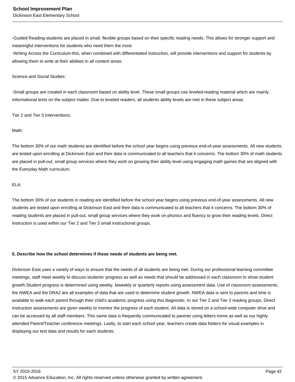-Guided Reading-students are placed in small, flexible groups based on their specific reading needs. This allows for stronger support and meaningful interventions for students who need them the most.

-Writing Across the Curriculum-this, when combined with differentiated instruction, will provide interventions and support for students by allowing them to write at their abilities in all content areas.

Science and Social Studies:

-Small groups are created in each classroom based on ability level. These small groups use leveled-reading material which are mainly informational texts on the subject matter. Due to leveled readers, all students ability levels are met in these subject areas.

Tier 2 and Tier 3 Interventions:

#### Math:

The bottom 30% of our math students are identified before the school year begins using previous end-of-year assessments. All new students are tested upon enrolling at Dickinson East and their data is communicated to all teachers that it concerns. The bottom 30% of math students are placed in pull-out, small group services where they work on growing their ability level using engaging math games that are aligned with the Everyday Math curriculum.

#### ELA:

The bottom 30% of our students in reading are identified before the school year begins using previous end-of-year assessments. All new students are tested upon enrolling at Dickinson East and their data is communicated to all teachers that it concerns. The bottom 30% of reading students are placed in pull-out, small group services where they work on phonics and fluency to grow their reading levels. Direct Instruction is used within our Tier 2 and Tier 3 small instructional groups.

#### **5. Describe how the school determines if these needs of students are being met.**

Dickinson East uses a variety of ways to ensure that the needs of all students are being met. During our professional learning committee meetings, staff meet weekly to discuss students' progress as well as needs that should be addressed in each classroom to show student growth.Student progress is determined using weekly, biweekly or quarterly reports using assessment data. Use of classroom assessments, the NWEA and the DRA2 are all examples of data that are used to determine student growth. NWEA data is sent to parents and time is available to walk each parent through their child's academic progress using this diagnostic. In our Tier 2 and Tier 3 reading groups, Direct Instruction assessments are given weekly to monitor the progress of each student. All data is stored on a school-wide computer drive and can be accessed by all staff members. This same data is frequently communicated to parents using letters home as well as our highly attended Parent/Teacher conference meetings. Lastly, to start each school year, teachers create data folders for visual examples in displaying our test data and results for each students.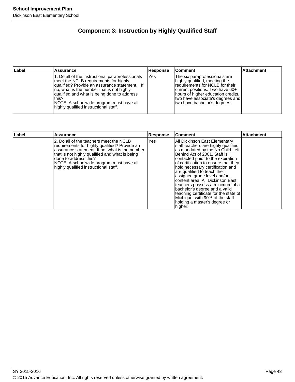## **Component 3: Instruction by Highly Qualified Staff**

| ∣Label | <b>Assurance</b>                                                                                                                                                                                                                                                                                                                      | Response | ∣Comment                                                                                                                                                                                                                                        | <b>Attachment</b> |
|--------|---------------------------------------------------------------------------------------------------------------------------------------------------------------------------------------------------------------------------------------------------------------------------------------------------------------------------------------|----------|-------------------------------------------------------------------------------------------------------------------------------------------------------------------------------------------------------------------------------------------------|-------------------|
|        | 1. Do all of the instructional paraprofessionals<br>meet the NCLB requirements for highly<br>qualified? Provide an assurance statement. If<br>Ino, what is the number that is not highly<br>qualified and what is being done to address<br>this?<br>NOTE: A schoolwide program must have all<br>highly qualified instructional staff. | Yes      | The six paraprofessionals are<br>highly qualified, meeting the<br>requirements for NCLB for their<br>lcurrent positions. Two have 60+<br>hours of higher education credits,<br>two have associate's degrees and<br>two have bachelor's degrees. |                   |

| Label | <b>Assurance</b>                                                                                                                                                                                                                                                                                           | Response | <b>Comment</b>                                                                                                                                                                                                                                                                                                                                                                                                                                                                                                                                           | <b>Attachment</b> |
|-------|------------------------------------------------------------------------------------------------------------------------------------------------------------------------------------------------------------------------------------------------------------------------------------------------------------|----------|----------------------------------------------------------------------------------------------------------------------------------------------------------------------------------------------------------------------------------------------------------------------------------------------------------------------------------------------------------------------------------------------------------------------------------------------------------------------------------------------------------------------------------------------------------|-------------------|
|       | 2. Do all of the teachers meet the NCLB<br>requirements for highly qualified? Provide an<br>assurance statement. If no, what is the number<br>that is not highly qualified and what is being<br>done to address this?<br>NOTE: A schoolwide program must have all<br>highly qualified instructional staff. | Yes      | All Dickinson East Elementary<br>staff teachers are highly qualified<br>as mandated by the No Child Left<br>Behind Act of 2001. Staff is<br>contacted priior to the expiration<br>of certification to ensure that they<br>hold necessary certification and<br>are qualified to teach their<br>assigned grade level and/or<br>content area. All Dickinson East<br>teachers possess a minimum of a<br>bachelor's degree and a valid<br>teaching certificate for the state of<br>Michigan, with 90% of the staff<br>holding a master's degree or<br>higher. |                   |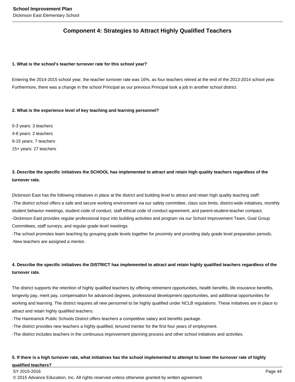## **Component 4: Strategies to Attract Highly Qualified Teachers**

#### **1. What is the school's teacher turnover rate for this school year?**

Entering the 2014-2015 school year, the teacher turnover rate was 16%, as four teachers retired at the end of the 2013-2014 school year. Furthermore, there was a change in the school Principal as our previous Principal took a job in another school district.

#### **2. What is the experience level of key teaching and learning personnel?**

0-3 years: 3 teachers 4-8 years: 2 teachers 9-15 years: 7 teachers 15+ years: 27 teachers

## **3. Describe the specific initiatives the SCHOOL has implemented to attract and retain high quality teachers regardless of the turnover rate.**

Dickinson East has the following initiatives in place at the district and building level to attract and retain high quality teaching staff: -The district school offers a safe and secure working environment via our safety committee, class size limits, district-wide initiatives, monthly student behavior meetings, student code of conduct, staff ethical code of conduct agreement, and parent-student-teacher compact. -Dickinson East provides regular professional input into building activities and program via our School Improvement Team, Goal Group Committees, staff surveys, and regular grade level meetings.

-The school promotes team teaching by grouping grade levels together for proximity and providing daily grade level preparation periods. -New teachers are assigned a mentor.

## **4. Describe the specific initiatives the DISTRICT has implemented to attract and retain highly qualified teachers regardless of the turnover rate.**

The district supports the retention of highly qualified teachers by offering retirement opportunities, health benefits, life insurance benefits, longevity pay, merit pay, compensation for advanced degrees, professional development opportunities, and additional opportunities for working and learning. The district requires all new personnel to be highly qualified under NCLB regulations. These initiatives are in place to attract and retain highly qualified teachers:

-The Hamtramck Public Schools District offers teachers a competitive salary and benefits package.

- -The district provides new teachers a highly qualified, tenured mentor for the first four years of employment.
- -The district includes teachers in the continuous improvement planning process and other school initiatives and activities.

### **5. If there is a high turnover rate, what initiatives has the school implemented to attempt to lower the turnover rate of highly qualified teachers?**

#### SY 2015-2016 Page 44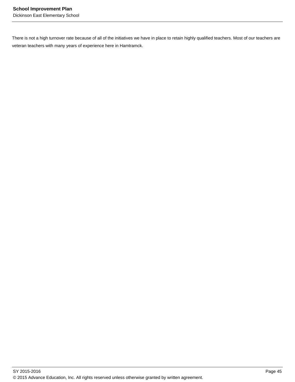There is not a high turnover rate because of all of the initiatives we have in place to retain highly qualified teachers. Most of our teachers are veteran teachers with many years of experience here in Hamtramck.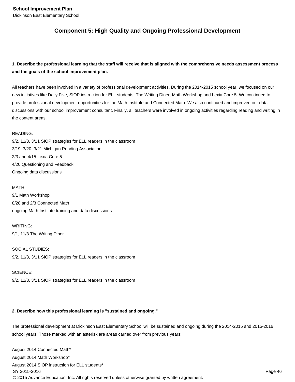## **Component 5: High Quality and Ongoing Professional Development**

## **1. Describe the professional learning that the staff will receive that is aligned with the comprehensive needs assessment process and the goals of the school improvement plan.**

All teachers have been involved in a variety of professional development activities. During the 2014-2015 school year, we focused on our new initiatives like Daily Five, SIOP instruction for ELL students, The Writing Diner, Math Workshop and Lexia Core 5. We continued to provide professional development opportunities for the Math Institute and Connected Math. We also continued and improved our data discussions with our school improvement consultant. Finally, all teachers were involved in ongoing activities regarding reading and writing in the content areas.

#### READING:

9/2, 11/3, 3/11 SIOP strategies for ELL readers in the classroom 3/19, 3/20, 3/21 Michigan Reading Association 2/3 and 4/15 Lexia Core 5 4/20 Questioning and Feedback Ongoing data discussions

#### MATH:

9/1 Math Workshop 8/28 and 2/3 Connected Math ongoing Math Institute training and data discussions

#### WRITING:

SCIENCE:

9/1, 11/3 The Writing Diner

SOCIAL STUDIES: 9/2, 11/3, 3/11 SIOP strategies for ELL readers in the classroom

9/2, 11/3, 3/11 SIOP strategies for ELL readers in the classroom

#### **2. Describe how this professional learning is "sustained and ongoing."**

The professional development at Dickinson East Elementary School will be sustained and ongoing during the 2014-2015 and 2015-2016 school years. Those marked with an asterisk are areas carried over from previous years:

August 2014 Connected Math\* August 2014 Math Workshop\*

August 2014 SIOP instruction for ELL students\*

SY 2015-2016 Page 46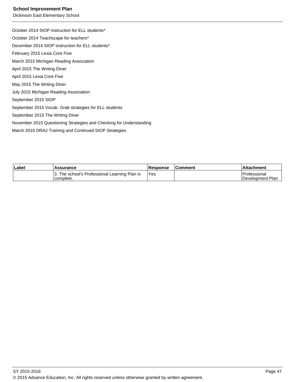#### **School Improvement Plan**

Dickinson East Elementary School

October 2014 SIOP instruction for ELL students\* October 2014 Teachscape for teachers\* December 2014 SIOP instruction for ELL students\* February 2015 Lexia Core Five March 2015 Michigan Reading Association April 2015 The Writing Diner April 2015 Lexia Core Five May 2015 The Writing Diner July 2015 Michigan Reading Association September 2015 SIOP September 2015 Vocab. Grab strategies for ELL students September 2015 The Writing Diner November 2015 Questioning Strategies and Checking for Understanding March 2016 DRA2 Training and Continued SIOP Strategies

| ∣Label | <b>Assurance</b>                                           | <b>Response</b> | <b>Comment</b> | ⊺Attachment                             |
|--------|------------------------------------------------------------|-----------------|----------------|-----------------------------------------|
|        | 3. The school's Professional Learning Plan is<br>complete. | Yes             |                | <b>Professional</b><br>Development Plan |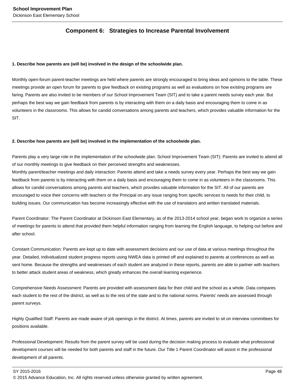## **Component 6: Strategies to Increase Parental Involvement**

#### **1. Describe how parents are (will be) involved in the design of the schoolwide plan.**

Monthly open-forum parent-teacher meetings are held where parents are strongly encouraged to bring ideas and opinions to the table. These meetings provide an open forum for parents to give feedback on existing programs as well as evaluations on how existing programs are faring. Parents are also invited to be members of our School Improvement Team (SIT) and to take a parent needs survey each year. But perhaps the best way we gain feedback from parents is by interacting with them on a daily basis and encouraging them to come in as volunteers in the classrooms. This allows for candid conversations among parents and teachers, which provides valuable information for the SIT.

#### **2. Describe how parents are (will be) involved in the implementation of the schoolwide plan.**

Parents play a very large role in the implementation of the schoolwide plan. School Improvement Team (SIT): Parents are invited to attend all of our monthly meetings to give feedback on their perceived strengths and weaknesses.

Monthly parent/teacher meetings and daily interaction: Parents attend and take a needs survey every year. Perhaps the best way we gain feedback from parents is by interacting with them on a daily basis and encouraging them to come in as volunteers in the classrooms. This allows for candid conversations among parents and teachers, which provides valuable information for the SIT. All of our parents are encouraged to voice their concerns with teachers or the Principal on any issue ranging from specific services to needs for their child, to building issues. Our communication has become increasingly effective with the use of translators and written translated materials.

Parent Coordinator: The Parent Coordinator at Dickinson East Elementary, as of the 2013-2014 school year, began work to organize a series of meetings for parents to attend that provided them helpful information ranging from learning the English language, to helping out before and after school.

Constant Communication: Parents are kept up to date with assessment decisions and our use of data at various meetings throughout the year. Detailed, individualized student progress reports using NWEA data is printed off and explained to parents at conferences as well as sent home. Because the strengths and weaknesses of each student are analyzed in these reports, parents are able to partner with teachers to better attack student areas of weakness, which greatly enhances the overall learning experience.

Comprehensive Needs Assessment: Parents are provided with assessment data for their child and the school as a whole. Data compares each student to the rest of the district, as well as to the rest of the state and to the national norms. Parents' needs are assessed through parent surveys.

Highly Qualified Staff: Parents are made aware of job openings in the district. At times, parents are invited to sit on interview committees for positions available.

Professional Development: Results from the parent survey will be used during the decision making process to evaluate what professional development courses will be needed for both parents and staff in the future. Our Title 1 Parent Coordinator will assist in the professional development of all parents.

SY 2015-2016 Page 48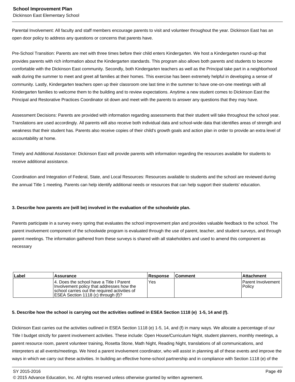Parental Involvement: All faculty and staff members encourage parents to visit and volunteer throughout the year. Dickinson East has an open door policy to address any questions or concerns that parents have.

Pre-School Transition: Parents are met with three times before their child enters Kindergarten. We host a Kindergarten round-up that provides parents with rich information about the Kindergarten standards. This program also allows both parents and students to become comfortable with the Dickinson East community. Secondly, both Kindergarten teachers as well as the Principal take part in a neighborhood walk during the summer to meet and greet all families at their homes. This exercise has been extremely helpful in developing a sense of community. Lastly, Kindergarten teachers open up their classroom one last time in the summer to have one-on-one meetings with all Kindergarten families to welcome them to the building and to review expectations. Anytime a new student comes to Dickinson East the Principal and Restorative Practices Coordinator sit down and meet with the parents to answer any questions that they may have.

Assessment Decisions: Parents are provided with information regarding assessments that their student will take throughout the school year. Translations are used accordingly. All parents will also receive both individual data and school-wide data that identifies areas of strength and weakness that their student has. Parents also receive copies of their child's growth goals and action plan in order to provide an extra level of accountability at home.

Timely and Additional Assistance: Dickinson East will provide parents with information regarding the resources available for students to receive additional assistance.

Coordination and Integration of Federal, State, and Local Resources: Resources available to students and the school are reviewed during the annual Title 1 meeting. Parents can help identify additional needs or resources that can help support their students' education.

#### **3. Describe how parents are (will be) involved in the evaluation of the schoolwide plan.**

Parents participate in a survey every spring that evaluates the school improvement plan and provides valuable feedback to the school. The parent involvement component of the schoolwide program is evaluated through the use of parent, teacher, and student surveys, and through parent meetings. The information gathered from these surveys is shared with all stakeholders and used to amend this component as necessary

| Label | Assurance                                                                                                                                                                       | <b>Response</b> | <b>Comment</b> | ∣Attachment                   |
|-------|---------------------------------------------------------------------------------------------------------------------------------------------------------------------------------|-----------------|----------------|-------------------------------|
|       | 14. Does the school have a Title I Parent<br>Involvement policy that addresses how the<br>Ischool carries out the required activities of<br>IESEA Section 1118 (c) through (f)? | 'Yes            |                | IParent Involvement<br>Policy |

#### **5. Describe how the school is carrying out the activities outlined in ESEA Section 1118 (e) 1-5, 14 and (f).**

Dickinson East carries out the activities outlined in ESEA Section 1118 (e) 1-5, 14, and (f) in many ways. We allocate a percentage of our Title I budget strictly for parent involvement activities. These include: Open House/Curriculum Night, student planners, monthly meetings, a parent resource room, parent volunteer training, Rosetta Stone, Math Night, Reading Night, translations of all communications, and interpreters at all events/meetings. We hired a parent involvement coordinator, who will assist in planning all of these events and improve the ways in which we carry out these activities. In building an effective home-school partnership and in compliance with Section 1118 (e) of the

SY 2015-2016 Page 49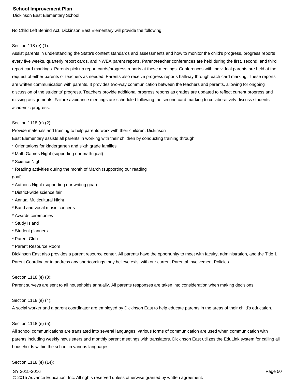No Child Left Behind Act, Dickinson East Elementary will provide the following:

#### Section 118 (e) (1):

Assist parents in understanding the State's content standards and assessments and how to monitor the child's progress, progress reports every five weeks, quarterly report cards, and NWEA parent reports. Parent/teacher conferences are held during the first, second, and third report card markings. Parents pick up report cards/progress reports at these meetings. Conferences with individual parents are held at the request of either parents or teachers as needed. Parents also receive progress reports halfway through each card marking. These reports are written communication with parents. It provides two-way communication between the teachers and parents, allowing for ongoing discussion of the students' progress. Teachers provide additional progress reports as grades are updated to reflect current progress and missing assignments. Failure avoidance meetings are scheduled following the second card marking to collaboratively discuss students' academic progress.

#### Section 1118 (e) (2):

Provide materials and training to help parents work with their children. Dickinson

East Elementary assists all parents in working with their children by conducting training through:

- \* Orientations for kindergarten and sixth grade families
- \* Math Games Night (supporting our math goal)
- \* Science Night

\* Reading activities during the month of March (supporting our reading

- goal)
- \* Author's Night (supporting our writing goal)
- \* District-wide science fair
- \* Annual Multicultural Night
- \* Band and vocal music concerts
- \* Awards ceremonies
- \* Study Island
- \* Student planners
- \* Parent Club
- \* Parent Resource Room

Dickinson East also provides a parent resource center. All parents have the opportunity to meet with faculty, administration, and the Title 1 Parent Coordinator to address any shortcomings they believe exist with our current Parental Involvement Policies.

#### Section 1118 (e) (3):

Parent surveys are sent to all households annually. All parents responses are taken into consideration when making decisions

#### Section 1118 (e) (4):

.

A social worker and a parent coordinator are employed by Dickinson East to help educate parents in the areas of their child's education.

#### Section 1118 (e) (5):

All school communications are translated into several languages; various forms of communication are used when communication with parents including weekly newsletters and monthly parent meetings with translators. Dickinson East utilizes the EduLink system for calling all households within the school in various languages.

#### Section 1118 (e) (14):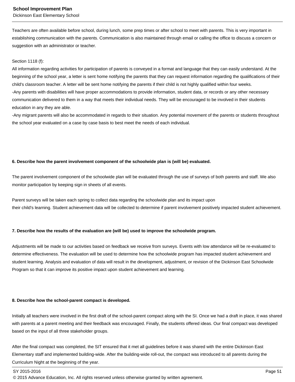#### **School Improvement Plan**

Dickinson East Elementary School

Teachers are often available before school, during lunch, some prep times or after school to meet with parents. This is very important in establishing communication with the parents. Communication is also maintained through email or calling the office to discuss a concern or suggestion with an administrator or teacher.

#### Section 1118 (f):

All information regarding activities for participation of parents is conveyed in a format and language that they can easily understand. At the beginning of the school year, a letter is sent home notifying the parents that they can request information regarding the qualifications of their child's classroom teacher. A letter will be sent home notifying the parents if their child is not highly qualified within four weeks. -Any parents with disabilities will have proper accommodations to provide information, student data, or records or any other necessary communication delivered to them in a way that meets their individual needs. They will be encouraged to be involved in their students education in any they are able.

-Any migrant parents will also be accommodated in regards to their situation. Any potential movement of the parents or students throughout the school year evaluated on a case by case basis to best meet the needs of each individual.

#### **6. Describe how the parent involvement component of the schoolwide plan is (will be) evaluated.**

The parent involvement component of the schoolwide plan will be evaluated through the use of surveys of both parents and staff. We also monitor participation by keeping sign in sheets of all events.

Parent surveys will be taken each spring to collect data regarding the schoolwide plan and its impact upon their child's learning. Student achievement data will be collected to determine if parent involvement positively impacted student achievement.

#### **7. Describe how the results of the evaluation are (will be) used to improve the schoolwide program.**

Adjustments will be made to our activities based on feedback we receive from surveys. Events with low attendance will be re-evaluated to determine effectiveness. The evaluation will be used to determine how the schoolwide program has impacted student achievement and student learning. Analysis and evaluation of data will result in the development, adjustment, or revision of the Dickinson East Schoolwide Program so that it can improve its positive impact upon student achievement and learning.

#### **8. Describe how the school-parent compact is developed.**

Initially all teachers were involved in the first draft of the school-parent compact along with the SI. Once we had a draft in place, it was shared with parents at a parent meeting and their feedback was encouraged. Finally, the students offered ideas. Our final compact was developed based on the input of all three stakeholder groups.

After the final compact was completed, the SIT ensured that it met all guidelines before it was shared with the entire Dickinson East Elementary staff and implemented building-wide. After the building-wide roll-out, the compact was introduced to all parents during the Curriculum Night at the beginning of the year.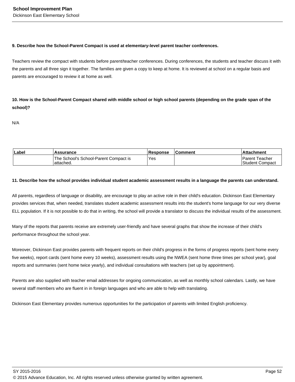#### **9. Describe how the School-Parent Compact is used at elementary-level parent teacher conferences.**

Teachers review the compact with students before parent/teacher conferences. During conferences, the students and teacher discuss it with the parents and all three sign it together. The families are given a copy to keep at home. It is reviewed at school on a regular basis and parents are encouraged to review it at home as well.

**10. How is the School-Parent Compact shared with middle school or high school parents (depending on the grade span of the school)?** 

N/A

| Label | <b>Assurance</b>                                   | <b>Response</b> | <b>Comment</b> | l Attachment                         |
|-------|----------------------------------------------------|-----------------|----------------|--------------------------------------|
|       | The School's School-Parent Compact is<br>attached. | Yes             |                | l Parent Teacher<br>lStudent Compact |

#### **11. Describe how the school provides individual student academic assessment results in a language the parents can understand.**

All parents, regardless of language or disability, are encourage to play an active role in their child's education. Dickinson East Elementary provides services that, when needed, translates student academic assessment results into the student's home language for our very diverse ELL population. If it is not possible to do that in writing, the school will provide a translator to discuss the individual results of the assessment.

Many of the reports that parents receive are extremely user-friendly and have several graphs that show the increase of their child's performance throughout the school year.

Moreover, Dickinson East provides parents with frequent reports on their child's progress in the forms of progress reports (sent home every five weeks), report cards (sent home every 10 weeks), assessment results using the NWEA (sent home three times per school year), goal reports and summaries (sent home twice yearly), and individual consultations with teachers (set up by appointment).

Parents are also supplied with teacher email addresses for ongoing communication, as well as monthly school calendars. Lastly, we have several staff members who are fluent in in foreign languages and who are able to help with translating.

Dickinson East Elementary provides numerous opportunities for the participation of parents with limited English proficiency.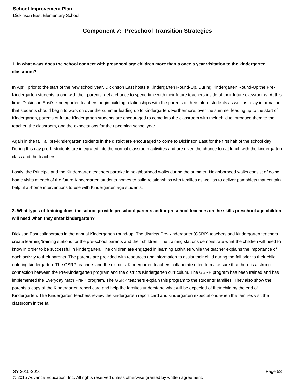## **Component 7: Preschool Transition Strategies**

## **1. In what ways does the school connect with preschool age children more than a once a year visitation to the kindergarten classroom?**

In April, prior to the start of the new school year, Dickinson East hosts a Kindergarten Round-Up. During Kindergarten Round-Up the Pre-Kindergarten students, along with their parents, get a chance to spend time with their future teachers inside of their future classrooms. At this time, Dickinson East's kindergarten teachers begin building relationships with the parents of their future students as well as relay information that students should begin to work on over the summer leading up to kindergarten. Furthermore, over the summer leading up to the start of Kindergarten, parents of future Kindergarten students are encouraged to come into the classroom with their child to introduce them to the teacher, the classroom, and the expectations for the upcoming school year.

Again in the fall, all pre-kindergarten students in the district are encouraged to come to Dickinson East for the first half of the school day. During this day pre-K students are integrated into the normal classroom activities and are given the chance to eat lunch with the kindergarten class and the teachers.

Lastly, the Principal and the Kindergarten teachers partake in neighborhood walks during the summer. Neighborhood walks consist of doing home visits at each of the future Kindergarten students homes to build relationships with families as well as to deliver pamphlets that contain helpful at-home interventions to use with Kindergarten age students.

## **2. What types of training does the school provide preschool parents and/or preschool teachers on the skills preschool age children will need when they enter kindergarten?**

Dickison East collaborates in the annual Kindergarten round-up. The districts Pre-Kindergarten(GSRP) teachers and kindergarten teachers create learning/training stations for the pre-school parents and their children. The training stations demonstrate what the children will need to know in order to be successful in kindergarten. The children are engaged in learning activities while the teacher explains the importance of each activity to their parents. The parents are provided with resources and information to assist their child during the fall prior to their child entering kindergarten. The GSRP teachers and the districts' Kindergarten teachers collaborate often to make sure that there is a strong connection between the Pre-Kindergarten program and the districts Kindergarten curriculum. The GSRP program has been trained and has implemented the Everyday Math Pre-K program. The GSRP teachers explain this program to the students' families. They also show the parents a copy of the Kindergarten report card and help the families understand what will be expected of their child by the end of Kindergarten. The Kindergarten teachers review the kindergarten report card and kindergarten expectations when the families visit the classroom in the fall.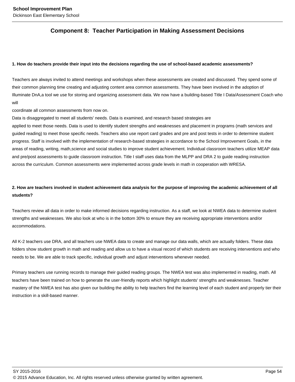## **Component 8: Teacher Participation in Making Assessment Decisions**

#### **1. How do teachers provide their input into the decisions regarding the use of school-based academic assessments?**

Teachers are always invited to attend meetings and workshops when these assessments are created and discussed. They spend some of their common planning time creating and adjusting content area common assessments. They have been involved in the adoption of Illuminate DnA,a tool we use for storing and organizing assessment data. We now have a building-based Title I Data/Assessment Coach who will

coordinate all common assessments from now on.

Data is disaggregated to meet all students' needs. Data is examined, and research based strategies are

applied to meet those needs. Data is used to identify student strengths and weaknesses and placement in programs (math services and guided reading) to meet those specific needs. Teachers also use report card grades and pre and post tests in order to determine student progress. Staff is involved with the implementation of research-based strategies in accordance to the School Improvement Goals, in the areas of reading, writing, math,science and social studies to improve student achievement. Individual classroom teachers utilize MEAP data and pre/post assessments to guide classroom instruction. Title I staff uses data from the MLPP and DRA 2 to guide reading instruction across the curriculum. Common assessments were implemented across grade levels in math in cooperation with WRESA.

## **2. How are teachers involved in student achievement data analysis for the purpose of improving the academic achievement of all students?**

Teachers review all data in order to make informed decisions regarding instruction. As a staff, we look at NWEA data to determine student strengths and weaknesses. We also look at who is in the bottom 30% to ensure they are receiving appropriate interventions and/or accommodations.

All K-2 teachers use DRA, and all teachers use NWEA data to create and manage our data walls, which are actually folders. These data folders show student growth in math and reading and allow us to have a visual record of which students are receiving interventions and who needs to be. We are able to track specific, individual growth and adjust interventions whenever needed.

Primary teachers use running records to manage their guided reading groups. The NWEA test was also implemented in reading, math. All teachers have been trained on how to generate the user-friendly reports which highlight students' strengths and weaknesses. Teacher mastery of the NWEA test has also given our building the ability to help teachers find the learning level of each student and properly tier their instruction in a skill-based manner.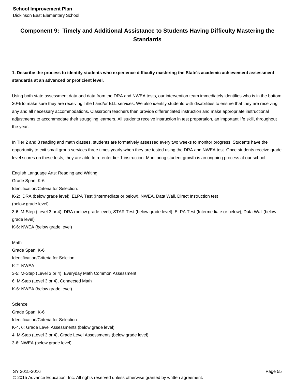## **Component 9: Timely and Additional Assistance to Students Having Difficulty Mastering the Standards**

**1. Describe the process to identify students who experience difficulty mastering the State's academic achievement assessment standards at an advanced or proficient level.**

Using both state assessment data and data from the DRA and NWEA tests, our intervention team immediately identifies who is in the bottom 30% to make sure they are receiving Title I and/or ELL services. We also identify students with disabilities to ensure that they are receiving any and all necessary accommodations. Classroom teachers then provide differentiated instruction and make appropriate instructional adjustments to accommodate their struggling learners. All students receive instruction in test preparation, an important life skill, throughout the year.

In Tier 2 and 3 reading and math classes, students are formatively assessed every two weeks to monitor progress. Students have the opportunity to exit small group services three times yearly when they are tested using the DRA and NWEA test. Once students receive grade level scores on these tests, they are able to re-enter tier 1 instruction. Monitoring student growth is an ongoing process at our school.

English Language Arts: Reading and Writing Grade Span: K-6 Identification/Criteria for Selection: K-2: DRA (below grade level), ELPA Test (Intermediate or below), NWEA, Data Wall, Direct Instruction test (below grade level) 3-6: M-Step (Level 3 or 4), DRA (below grade level), STAR Test (below grade level), ELPA Test (Intermediate or below), Data Wall (below grade level) K-6: NWEA (below grade level)

Math Grade Span: K-6 Identification/Criteria for Selction: K-2: NWEA 3-5: M-Step (Level 3 or 4), Everyday Math Common Assessment 6: M-Step (Level 3 or 4), Connected Math K-6: NWEA (below grade level)

**Science** Grade Span: K-6 Identification/Criteria for Selection: K-4, 6: Grade Level Assessments (below grade level) 4: M-Step (Level 3 or 4), Grade Level Assessments (below grade level) 3-6: NWEA (below grade level)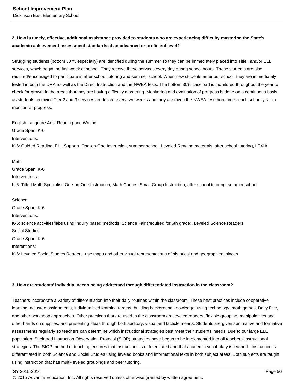## **2. How is timely, effective, additional assistance provided to students who are experiencing difficulty mastering the State's academic achievement assessment standards at an advanced or proficient level?**

Struggling students (bottom 30 % especially) are identified during the summer so they can be immediately placed into Title I and/or ELL services, which begin the first week of school. They receive these services every day during school hours. These students are also required/encouraged to participate in after school tutoring and summer school. When new students enter our school, they are immediately tested in both the DRA as well as the Direct Instruction and the NWEA tests. The bottom 30% caseload is monitored throughout the year to check for growth in the areas that they are having difficulty mastering. Monitoring and evaluation of progress is done on a continuous basis, as students receiving Tier 2 and 3 services are tested every two weeks and they are given the NWEA test three times each school year to monitor for progress.

English Languare Arts: Reading and Writing

Grade Span: K-6

Interventions:

K-6: Guided Reading, ELL Support, One-on-One Instruction, summer school, Leveled Reading materials, after school tutoring, LEXIA

Math

Grade Span: K-6

Interventions:

K-6: Title I Math Specialist, One-on-One Instruction, Math Games, Small Group Instruction, after school tutoring, summer school

**Science** Grade Span: K-6 Interventions: K-6: science activities/labs using inquiry based methods, Science Fair (required for 6th grade), Leveled Science Readers Social Studies Grade Span: K-6 Interentions: K-6: Leveled Social Studies Readers, use maps and other visual representations of historical and geographical places

#### **3. How are students' individual needs being addressed through differentiated instruction in the classroom?**

Teachers incorporate a variety of differentiation into their daily routines within the classroom. These best practices include cooperative learning, adjusted assignments, individualized learning targets, building background knowledge, using technology, math games, Daily Five, and other workshop approaches. Other practices that are used in the classroom are leveled readers, flexible grouping, manipulatives and other hands on supplies, and presenting ideas through both auditory, visual and tacticle means. Students are given summative and formative assessments regularly so teachers can determine which instructional strategies best meet their students' needs. Due to our large ELL population, Sheltered Instruction Observation Protocol (SIOP) strategies have begun to be implemented into all teachers' instructional strategies. The SIOP method of teaching ensures that instructions is differentiated and that academic vocabulary is learned. Instruction is differentiated in both Science and Social Studies using leveled books and informational texts in both subject areas. Both subjects are taught using instruction that has multi-leveled groupings and peer tutoring.

<sup>© 2015</sup> Advance Education, Inc. All rights reserved unless otherwise granted by written agreement.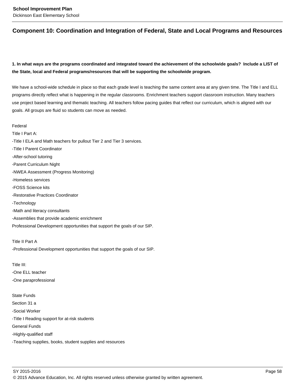## **Component 10: Coordination and Integration of Federal, State and Local Programs and Resources**

## **1. In what ways are the programs coordinated and integrated toward the achievement of the schoolwide goals? Include a LIST of the State, local and Federal programs/resources that will be supporting the schoolwide program.**

We have a school-wide schedule in place so that each grade level is teaching the same content area at any given time. The Title I and ELL programs directly reflect what is happening in the regular classrooms. Enrichment teachers support classroom instruction. Many teachers use project based learning and thematic teaching. All teachers follow pacing guides that reflect our curriculum, which is aligned with our goals. All groups are fluid so students can move as needed.

Federal Title I Part A: -Title I ELA and Math teachers for pullout Tier 2 and Tier 3 services. -Title I Parent Coordinator -After-school tutoring -Parent Curriculum Night -NWEA Assessment (Progress Monitoring) -Homeless services -FOSS Science kits -Restorative Practices Coordinator -Technology -Math and literacy consultants -Assemblies that provide academic enrichment Professional Development opportunities that support the goals of our SIP.

Title II Part A -Professional Development opportunities that support the goals of our SIP.

Title III: -One ELL teacher -One paraprofessional

State Funds Section 31 a -Social Worker -Title I Reading support for at-risk students General Funds -Highly-qualified staff -Teaching supplies, books, student supplies and resources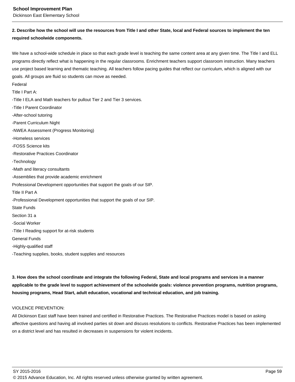**School Improvement Plan**

Dickinson East Elementary School

## **2. Describe how the school will use the resources from Title I and other State, local and Federal sources to implement the ten required schoolwide components.**

We have a school-wide schedule in place so that each grade level is teaching the same content area at any given time. The Title I and ELL programs directly reflect what is happening in the regular classrooms. Enrichment teachers support classroom instruction. Many teachers use project based learning and thematic teaching. All teachers follow pacing guides that reflect our curriculum, which is aligned with our goals. All groups are fluid so students can move as needed.

Federal

Title I Part A:

-Title I ELA and Math teachers for pullout Tier 2 and Tier 3 services.

-Title I Parent Coordinator

-After-school tutoring

-Parent Curriculum Night

-NWEA Assessment (Progress Monitoring)

-Homeless services

-FOSS Science kits

-Restorative Practices Coordinator

-Technology

-Math and literacy consultants

-Assemblies that provide academic enrichment

Professional Development opportunities that support the goals of our SIP.

Title II Part A

-Professional Development opportunities that support the goals of our SIP.

State Funds

Section 31 a

-Social Worker

-Title I Reading support for at-risk students

General Funds

-Highly-qualified staff

-Teaching supplies, books, student supplies and resources

**3. How does the school coordinate and integrate the following Federal, State and local programs and services in a manner applicable to the grade level to support achievement of the schoolwide goals: violence prevention programs, nutrition programs, housing programs, Head Start, adult education, vocational and technical education, and job training.** 

#### VIOLENCE PREVENTION:

All Dickinson East staff have been trained and certified in Restorative Practices. The Restorative Practices model is based on asking affective questions and having all involved parties sit down and discuss resolutions to conflicts. Restorative Practices has been implemented on a district level and has resulted in decreases in suspensions for violent incidents.

<sup>© 2015</sup> Advance Education, Inc. All rights reserved unless otherwise granted by written agreement.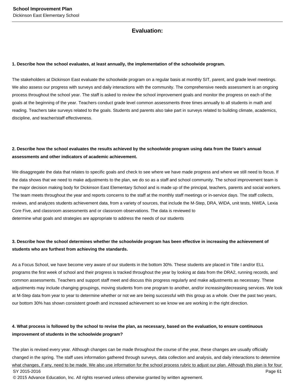## **Evaluation:**

#### **1. Describe how the school evaluates, at least annually, the implementation of the schoolwide program.**

The stakeholders at Dickinson East evaluate the schoolwide program on a regular basis at monthly SIT, parent, and grade level meetings. We also assess our progress with surveys and daily interactions with the community. The comprehensive needs assessment is an ongoing process throughout the school year. The staff is asked to review the school improvement goals and monitor the progress on each of the goals at the beginning of the year. Teachers conduct grade level common assessments three times annually to all students in math and reading. Teachers take surveys related to the goals. Students and parents also take part in surveys related to building climate, academics, discipline, and teacher/staff effectiveness.

## **2. Describe how the school evaluates the results achieved by the schoolwide program using data from the State's annual assessments and other indicators of academic achievement.**

We disaggregate the data that relates to specific goals and check to see where we have made progress and where we still need to focus. If the data shows that we need to make adjustments to the plan, we do so as a staff and school community. The school improvement team is the major decision making body for Dickinson East Elementary School and is made up of the principal, teachers, parents and social workers. The team meets throughout the year and reports concerns to the staff at the monthly staff meetings or in-service days. The staff collects, reviews, and analyzes students achievement data, from a variety of sources, that include the M-Step, DRA, WIDA, unit tests, NWEA, Lexia Core Five, and classroom assessments and or classroom observations. The data is reviewed to determine what goals and strategies are appropriate to address the needs of our students

## **3. Describe how the school determines whether the schoolwide program has been effective in increasing the achievement of students who are furthest from achieving the standards.**

As a Focus School, we have become very aware of our students in the bottom 30%. These students are placed in Title I and/or ELL programs the first week of school and their progress is tracked throughout the year by looking at data from the DRA2, running records, and common assessments. Teachers and support staff meet and discuss this progress regularly and make adjustments as necessary. These adjustments may include changing groupings, moving students from one program to another, and/or increasing/decreasing services. We look at M-Step data from year to year to determine whether or not we are being successful with this group as a whole. Over the past two years, our bottom 30% has shown consistent growth and increased achievement so we know we are working in the right direction.

## **4. What process is followed by the school to revise the plan, as necessary, based on the evaluation, to ensure continuous improvement of students in the schoolwide program?**

The plan is revised every year. Although changes can be made throughout the course of the year, these changes are usually officially changed in the spring. The staff uses information gathered through surveys, data collection and analysis, and daily interactions to determine what changes, if any, need to be made. We also use information for the school process rubric to adjust our plan. Although this plan is for four SY 2015-2016 Page 61 © 2015 Advance Education, Inc. All rights reserved unless otherwise granted by written agreement.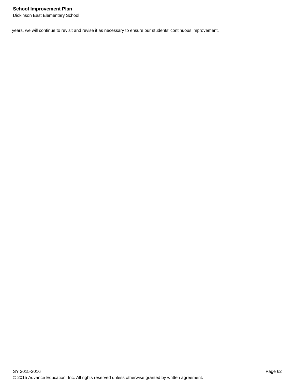years, we will continue to revisit and revise it as necessary to ensure our students' continuous improvement.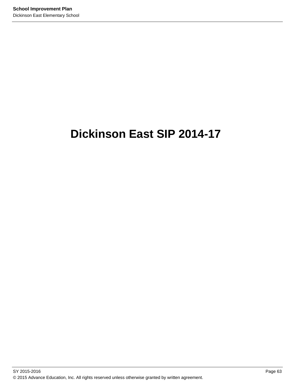# **Dickinson East SIP 2014-17**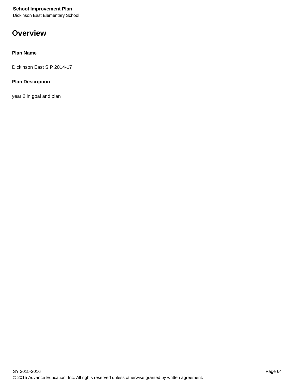## **Overview**

### **Plan Name**

Dickinson East SIP 2014-17

### **Plan Description**

year 2 in goal and plan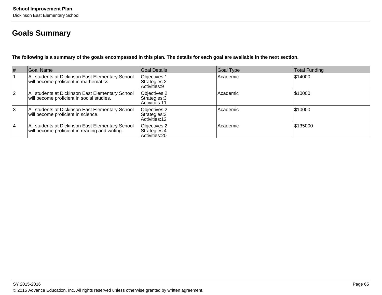## **Goals Summary**

**The following is a summary of the goals encompassed in this plan. The details for each goal are available in the next section.**

| $\vert \#$     | Goal Name                                                                                          | Goal Details                                            | Goal Type | <b>Total Funding</b> |
|----------------|----------------------------------------------------------------------------------------------------|---------------------------------------------------------|-----------|----------------------|
|                | All students at Dickinson East Elementary School<br>will become proficient in mathematics.         | Objectives: 1<br>Strategies: 2<br>Activities: 9         | Academic  | \$14000              |
| $\overline{2}$ | All students at Dickinson East Elementary School<br>will become proficient in social studies.      | Objectives: 2<br>Strategies: 3<br><b>Activities: 11</b> | Academic  | \$10000              |
| 3              | All students at Dickinson East Elementary School<br>will become proficient in science.             | Objectives: 2<br>Strategies: 3<br>Activities: 12        | Academic  | \$10000              |
| 4              | All students at Dickinson East Elementary School<br>will become proficient in reading and writing. | Objectives: 2<br>Strategies: 4<br>Activities: 20        | Academic  | \$135000             |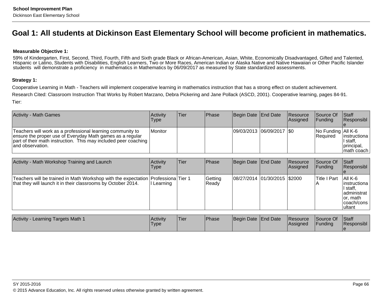## **Goal 1: All students at Dickinson East Elementary School will become proficient in mathematics.**

#### **Measurable Objective 1:**

59% of Kindergarten, First, Second, Third, Fourth, Fifth and Sixth grade Black or African-American, Asian, White, Economically Disadvantaged, Gifted and Talented, Hispanic or Latino, Students with Disabilities, English Learners, Two or More Races, American Indian or Alaska Native and Native Hawaiian or Other Pacific Islanderstudents will demonstrate a proficiency in mathematics in Mathematics by 06/09/2017 as measured by State standardized assessments.

#### **Strategy 1:**

Cooperative Learning in Math - Teachers will implement cooperative learning in mathematics instruction that has a strong effect on student achievement.Research Cited: Classroom Instruction That Works by Robert Marzano, Debra Pickering and Jane Pollack (ASCD, 2001). Cooperative learning, pages 84-91.Tier:

| <b>Activity - Math Games</b>                                                                                                                                                                                       | <b>Activity</b><br><b>Type</b> | lTier: | <b>Phase</b> | Begin Date End Date         | <b>Resource</b><br>Assigned | <b>Source Of</b><br>IFundina                            | <b>Staff</b><br>Responsibl                             |
|--------------------------------------------------------------------------------------------------------------------------------------------------------------------------------------------------------------------|--------------------------------|--------|--------------|-----------------------------|-----------------------------|---------------------------------------------------------|--------------------------------------------------------|
| Teachers will work as a professional learning community to<br>ensure the proper use of Everyday Math games as a regular<br>  part of their math instruction. This may included peer coaching  <br>and observation. | l Monitor                      |        |              | 09/03/2013 06/09/2017   \$0 |                             | $\sqrt{N}$ Funding $\sqrt{All K-6}$<br><b>IRequired</b> | instructiona  <br>∪staff.<br>principal,<br>Imath coach |

| Activity - Math Workshop Training and Launch                                                                                                           | <b>Activity</b><br>Type | lTier. | <b>IPhase</b>    | Begin Date End Date          | Resource<br><b>Assigned</b> | Source Of<br><b>IFunding</b> | <b>Staff</b><br>Responsibl                                                                  |
|--------------------------------------------------------------------------------------------------------------------------------------------------------|-------------------------|--------|------------------|------------------------------|-----------------------------|------------------------------|---------------------------------------------------------------------------------------------|
| Teachers will be trained in Math Workshop with the expectation   Professiona   Tier 1<br>that they will launch it in their classrooms by October 2014. | Learning                |        | Getting<br>Ready | 08/27/2014 01/30/2015 \$2000 |                             | Title I Part                 | AII K-6<br>linstructiona<br>II staff.<br>ladministrat<br>or, math<br>Icoach/cons<br>lultant |

| Activity<br>'Tier<br>Learning Targets Math 1<br>Activity<br>'Type | <b>Phase</b> | Begin Date End Date | <b>IResource</b><br><b>Assigned</b> | Source Of<br>Funding | Staff<br>Responsibl |
|-------------------------------------------------------------------|--------------|---------------------|-------------------------------------|----------------------|---------------------|
|-------------------------------------------------------------------|--------------|---------------------|-------------------------------------|----------------------|---------------------|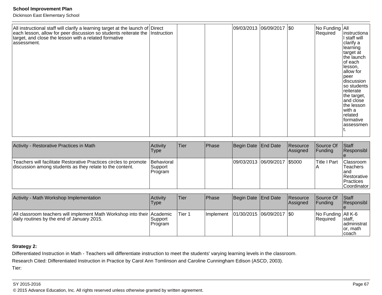| All instructional staff will clarify a learning target at the launch of Direct each lesson, allow for peer discussion so students reiterate the Instruction<br>target, and close the lesson with a related formative<br>assessment. |  |  |  | 09/03/2013 06/09/2017 \$0 |  |  | No Funding All<br>Required | instructiona<br>I staff will<br>clarify a<br>learning<br>target at<br>the launch<br>of each<br>lesson,<br>allow for<br>peer<br>discussion<br>so students<br>reiterate<br>the target,<br>and close<br>the lesson<br>with a<br>related<br>formative<br>assessmen |
|-------------------------------------------------------------------------------------------------------------------------------------------------------------------------------------------------------------------------------------|--|--|--|---------------------------|--|--|----------------------------|----------------------------------------------------------------------------------------------------------------------------------------------------------------------------------------------------------------------------------------------------------------|
|-------------------------------------------------------------------------------------------------------------------------------------------------------------------------------------------------------------------------------------|--|--|--|---------------------------|--|--|----------------------------|----------------------------------------------------------------------------------------------------------------------------------------------------------------------------------------------------------------------------------------------------------------|

| Activity - Restorative Practices in Math                                                                                      | <b>Activity</b><br>Type                   | lTier. | <b>Phase</b> | Begin Date End Date |                              | Resource<br><b>Assigned</b> | Source Of<br>IFundina | <b>Staff</b><br><b>Responsibl</b>                                                                           |
|-------------------------------------------------------------------------------------------------------------------------------|-------------------------------------------|--------|--------------|---------------------|------------------------------|-----------------------------|-----------------------|-------------------------------------------------------------------------------------------------------------|
| Teachers will facilitate Restorative Practices circles to promote<br>discussion among students as they relate to the content. | <b>Behavioral</b><br> Support<br> Program |        |              |                     | 09/03/2013 06/09/2017 \$5000 |                             | lTitle I Part         | Classroom<br><b>Teachers</b><br>land<br><b>Restorative</b><br><i><u>Practices</u></i><br><b>Coordinator</b> |

| Activity - Math Workshop Implementation                                                                               | Activitv<br>Type   | <b>Tier</b> | Phase      | Begin Date End Date         | Resource<br><b>Assigned</b> | lSource Of<br>IFundina                                                  | <b>Staff</b><br>Responsibl                            |
|-----------------------------------------------------------------------------------------------------------------------|--------------------|-------------|------------|-----------------------------|-----------------------------|-------------------------------------------------------------------------|-------------------------------------------------------|
| All classroom teachers will implement Math Workshop into their Academic<br>daily routines by the end of January 2015. | Support<br>Program | Tier 1      | Ilmplement | 01/30/2015  06/09/2017  \$0 |                             | $\sqrt{\frac{1}{100}}$ Funding $\sqrt{\frac{1}{100}}$ K-6<br>l Reauired | ∃staff.<br>ladministrat<br>for. math<br><b>Icoach</b> |

## **Strategy 2:**

Differentiated Instruction in Math - Teachers will differentiate instruction to meet the students' varying learning levels in the classroom.

Research Cited: Differentiated Instruction in Practice by Carol Ann Tomlinson and Caroline Cunningham Edison (ASCD, 2003).

Tier:

#### SY 2015-2016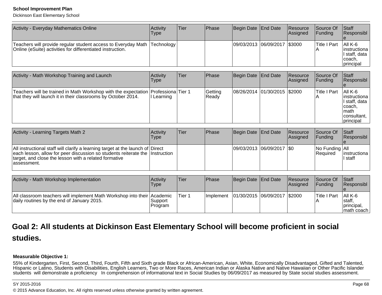#### **School Improvement Plan**

Dickinson East Elementary School

| Activity - Everyday Mathematics Online                                                                                                    | <b>Activity</b><br>Type | Tier | <b>IPhase</b> | Begin Date End Date          | <b>Resource</b><br> Assigned | <b>Source Of</b><br><b>IFunding</b> | <b>Staff</b><br><b>Responsibl</b>                                                   |
|-------------------------------------------------------------------------------------------------------------------------------------------|-------------------------|------|---------------|------------------------------|------------------------------|-------------------------------------|-------------------------------------------------------------------------------------|
| Teachers will provide regular student access to Everyday Math  Technology  <br>Online (eSuite) activities for differentiated instruction. |                         |      |               | 09/03/2013 06/09/2017 \$3000 |                              | <b>Title I Part</b>                 | $ A   K-6$<br>linstructional<br>I staff. data<br>Icoach.<br><i><b>principal</b></i> |

| Activity - Math Workshop Training and Launch                                                                                                       | Activity<br>Type | lTier | Phase            | Begin Date End Date          | <b>Resource</b><br>Assigned | <b>Source Of</b><br>IFundina | <b>Staff</b><br>Responsibl                                                                                |
|----------------------------------------------------------------------------------------------------------------------------------------------------|------------------|-------|------------------|------------------------------|-----------------------------|------------------------------|-----------------------------------------------------------------------------------------------------------|
| Teachers will be trained in Math Workshop with the expectation Professiona Tier 1<br>that they will launch it in their classrooms by October 2014. | Learning         |       | Getting<br>Ready | 08/26/2014 01/30/2015 \$2000 |                             | lTitle I Part                | IAII K-6<br>linstructiona<br>II staff, data<br>coach,<br><b>Imath</b><br>consultant,<br><i>Iprincipal</i> |

| Activity - Learning Targets Math 2                                                                                                                                                                                                      | <b>Activity</b><br>Type | lTier∶ | <b>IPhase</b> | Begin Date   End Date       | Resource<br>Assigned | Source Of<br><b>IFundina</b>            | <b>Staff</b><br>Responsibl |
|-----------------------------------------------------------------------------------------------------------------------------------------------------------------------------------------------------------------------------------------|-------------------------|--------|---------------|-----------------------------|----------------------|-----------------------------------------|----------------------------|
| All instructional staff will clarify a learning target at the launch of Direct<br>each lesson, allow for peer discussion so students reiterate the Instruction<br>target, and close the lesson with a related formative<br>lassessment. |                         |        |               | 09/03/2013 06/09/2017   \$0 |                      | $ No$ Funding $ All$<br><b>Required</b> | linstructional<br>I staff  |

| Activity - Math Workshop Implementation                                                                               | Activity<br>Type     | ∣Tier  | <b>IPhase</b> | Begin Date End Date          | <b>Resource</b><br>Assigned | <b>Source Of</b><br>IFundina | <b>Staff</b><br>Responsibl                         |
|-----------------------------------------------------------------------------------------------------------------------|----------------------|--------|---------------|------------------------------|-----------------------------|------------------------------|----------------------------------------------------|
| All classroom teachers will implement Math Workshop into their Academic<br>daily routines by the end of January 2015. | ∣Support<br> Program | Tier 1 | Ilmplement    | 01/30/2015 06/09/2017 \$2000 |                             | <b>ITitle I Part</b>         | $ A   K-6$<br>Istaff.<br>principal,<br> math coach |

## **Goal 2: All students at Dickinson East Elementary School will become proficient in socialstudies.**

## **Measurable Objective 1:**

 55% of Kindergarten, First, Second, Third, Fourth, Fifth and Sixth grade Black or African-American, Asian, White, Economically Disadvantaged, Gifted and Talented, Hispanic or Latino, Students with Disabilities, English Learners, Two or More Races, American Indian or Alaska Native and Native Hawaiian or Other Pacific Islanderstudents will demonstrate a proficiency In comprehension of informational text in Social Studies by 06/09/2017 as measured by State social studies assessment.

#### SY 2015-2016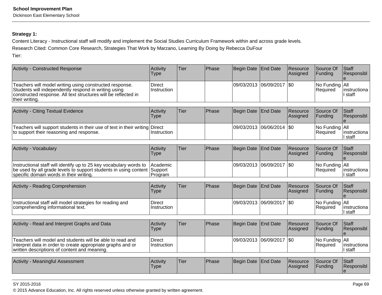Dickinson East Elementary School

# **Strategy 1:**

Content Literacy - Instructional staff will modify and implement the Social Studies Curriculum Framework within and across grade levels.

Research Cited: Common Core Research, Strategies That Work by Marzano, Learning By Doing by Rebecca DuFour

Tier:

| <b>Activity - Constructed Response</b>                                                                                                                                                              | Activity<br><b>Type</b>      | Tier        | Phase | <b>Begin Date</b> | <b>End Date</b>       | Resource<br>Assigned | Source Of<br>Funding   | Staff<br>Responsibl                 |
|-----------------------------------------------------------------------------------------------------------------------------------------------------------------------------------------------------|------------------------------|-------------|-------|-------------------|-----------------------|----------------------|------------------------|-------------------------------------|
| Teachers will model writing using constructed response.<br>Students will independently respond in writing using<br>constructed response. All text structures will be reflected in<br>their writing. | <b>Direct</b><br>Instruction |             |       |                   | 09/03/2013 06/09/2017 | \$0                  | No Funding<br>Required | All<br>instructiona<br>I staff      |
|                                                                                                                                                                                                     |                              |             |       |                   |                       |                      |                        |                                     |
| <b>Activity - Citing Textual Evidence</b>                                                                                                                                                           | Activity<br><b>Type</b>      | <b>Tier</b> | Phase | <b>Begin Date</b> | <b>End Date</b>       | Resource<br>Assigned | Source Of<br>Funding   | Staff<br>Responsibl                 |
| Teachers will support students in their use of text in their writing Direct<br>to support their reasoning and response.                                                                             | Instruction                  |             |       | 09/03/2013        | 06/06/2014            | \$0                  | No Funding<br>Required | All<br>instructiona<br>I staff      |
|                                                                                                                                                                                                     |                              |             |       |                   |                       |                      |                        |                                     |
| Activity - Vocabulary                                                                                                                                                                               | Activity<br><b>Type</b>      | <b>Tier</b> | Phase | <b>Begin Date</b> | <b>End Date</b>       | Resource<br>Assigned | Source Of<br>Funding   | <b>Staff</b><br>Responsibl          |
| Instructional staff will identify up to 25 key vocabulary words to<br>be used by all grade levels to support students in using content Support<br>specific domain words in their writing.           | Academic<br>Program          |             |       |                   | 09/03/2013 06/09/2017 | \$0                  | No Funding<br>Required | All<br>instructiona<br>I staff      |
|                                                                                                                                                                                                     |                              |             |       |                   |                       |                      |                        |                                     |
| Activity - Reading Comprehension                                                                                                                                                                    | Activity<br><b>Type</b>      | <b>Tier</b> | Phase | <b>Begin Date</b> | <b>End Date</b>       | Resource<br>Assigned | Source Of<br>Funding   | Staff<br>Responsibl                 |
| Instructional staff will model strategies for reading and<br>comprehending informational text.                                                                                                      | <b>Direct</b><br>Instruction |             |       | 09/03/2013        | 06/09/2017            | \$0                  | No Funding<br>Required | All<br>instructiona<br>I staff      |
|                                                                                                                                                                                                     |                              |             |       |                   |                       |                      |                        |                                     |
| Activity - Read and Interpret Graphs and Data                                                                                                                                                       | Activity<br><b>Type</b>      | <b>Tier</b> | Phase | <b>Begin Date</b> | <b>End Date</b>       | Resource<br>Assigned | Source Of<br>Funding   | Staff<br>Responsibl<br>$\mathbf{e}$ |
| Teachers will model and students will be able to read and<br>interpret data in order to create appropriate graphs and or<br>written descriptions of content and meaning.                            | <b>Direct</b><br>Instruction |             |       |                   | 09/03/2013 06/09/2017 | <b>\$0</b>           | No Funding<br>Required | All<br>instructiona<br>I staff      |
|                                                                                                                                                                                                     |                              |             |       |                   |                       |                      |                        |                                     |
| Activity - Meaningful Assessment                                                                                                                                                                    | Activity<br>Type             | <b>Tier</b> | Phase | <b>Begin Date</b> | <b>End Date</b>       | Resource<br>Assigned | Source Of<br>Funding   | Staff<br>Responsibl<br>$\mathbf e$  |

SY 2015-2016

en and the set of the set of the set of the set of the set of the set of the set of the set of the set of the set of the set of the set of the set of the set of the set of the set of the set of the set of the set of the se © 2015 Advance Education, Inc. All rights reserved unless otherwise granted by written agreement.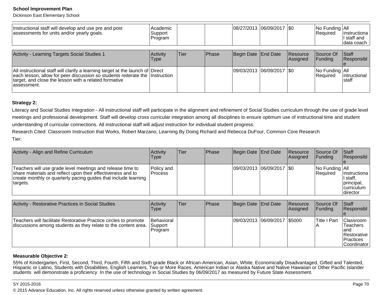Dickinson East Elementary School

| Instructional staff will develop and use pre and post<br>assessments for units and/or yearly goals.                                                                                                                                     | Academic<br>Support<br> Program |      |              | 08/27/2013  06/09/2017  \$0 |                      | $\vert$ No Funding $\vert$ All<br>Required | linstructiona<br>I staff and<br>data coach |
|-----------------------------------------------------------------------------------------------------------------------------------------------------------------------------------------------------------------------------------------|---------------------------------|------|--------------|-----------------------------|----------------------|--------------------------------------------|--------------------------------------------|
| Activity - Learning Targets Social Studies 1                                                                                                                                                                                            | Activity<br><b>Type</b>         | Tier | <b>Phase</b> | Begin Date End Date         | Resource<br>Assigned | Source Of<br>IFundina                      | <b>Staff</b><br>Responsibl                 |
| All instructional staff will clarify a learning target at the launch of Direct<br>each lesson, allow for peer discussion so students reiterate the Instruction<br>target, and close the lesson with a related formative<br>lassessment. |                                 |      |              | 09/03/2013  06/09/2017  \$0 |                      | No Funding All<br>Required                 | lintructional<br>Istaff                    |

## **Strategy 2:**

Literacy and Social Studies Integration - All instructional staff will participate in the alignment and refinement of Social Studies curriculum through the use of grade levelmeetings and professional development. Staff will develop cross curricular integration among all disciplines to ensure optimum use of instructional time and studentunderstanding of curricular connections. All instructional staff will adjust instruction for individual student progress.

Research Cited: Classroom Instruction that Works, Robert Marzano, Learning By Doing Richard and Rebecca DuFour, Common Core ResearchTier:

| Activity - Align and Refine Curriculum                                                                                                                                                                   | <b>Activity</b><br>Type      | lTier | Phase | Begin Date End Date         | <b>Resource</b><br><b>Assigned</b> | <b>Source Of</b><br><b>IFunding</b> | <b>Staff</b><br>Responsibl                                                  |
|----------------------------------------------------------------------------------------------------------------------------------------------------------------------------------------------------------|------------------------------|-------|-------|-----------------------------|------------------------------------|-------------------------------------|-----------------------------------------------------------------------------|
| Teachers will use grade level meetings and release time to<br>share materials and reflect upon their effectiveness and to<br>create monthly or quarterly pacing guides that include learning<br>targets. | <b>Policy</b> and<br>Process |       |       | 09/03/2013 06/09/2017   \$0 |                                    | No Funding All<br><b>Required</b>   | linstructiona<br>I staff.<br> principal,<br><b>Icurriculum</b><br>Idirector |

| Activity - Restorative Practices in Social Studies                                                                                 | Activity<br>Type                  | lTier. | <b>Phase</b> | Begin Date End Date          | Resource<br><b>Assigned</b> | Source Of<br>IFundina | <b>Staff</b><br>Responsibl                                                                |
|------------------------------------------------------------------------------------------------------------------------------------|-----------------------------------|--------|--------------|------------------------------|-----------------------------|-----------------------|-------------------------------------------------------------------------------------------|
| Teachers will facilitate Restorative Practice circles to promote<br>discussions among students as they relate to the content area. | Behavioral<br>Support<br> Program |        |              | 09/03/2013 06/09/2017 \$5000 |                             | lTitle I Part         | <b>IClassroom</b><br>lTeachers<br>land<br>Restorative<br><b>IPractices</b><br>Coordinator |

#### **Measurable Objective 2:**

55% of Kindergarten, First, Second, Third, Fourth, Fifth and Sixth grade Black or African-American, Asian, White, Economically Disadvantaged, Gifted and Talented,<br>Hispanic or Latino, Students with Disabilities, English Lea students will demonstrate a proficiency In the use of technology in Social Studies by 06/09/2017 as measured by Future State Assessment.

#### SY 2015-2016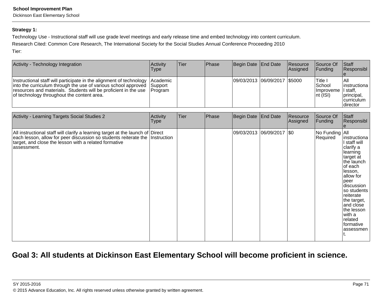Dickinson East Elementary School

## **Strategy 1:**

Technology Use - Instructional staff will use grade level meetings and early release time and embed technology into content curriculum.

Research Cited: Common Core Research, The International Society for the Social Studies Annual Conference Proceeding 2010

Tier:

| Activity - Technology Integration                                                                                                                                                                                                                      | Activitv<br>Type                | Tier | l Phase | Begin Date End Date          | <b>Resource</b><br>Assigned | Source Of<br><b>IFunding</b>                                                             | <b>Staff</b><br>Responsibl                                             |
|--------------------------------------------------------------------------------------------------------------------------------------------------------------------------------------------------------------------------------------------------------|---------------------------------|------|---------|------------------------------|-----------------------------|------------------------------------------------------------------------------------------|------------------------------------------------------------------------|
| Instructional staff will participate in the alignment of technology<br>into the curriculum through the use of various school approved<br>resources and materials. Students will be proficient in the use<br>of technology throughout the content area. | lAcademic<br>Support<br>Program |      |         | 09/03/2013 06/09/2017 \$5000 |                             | <sup>I</sup> Title I<br>School<br>Ilmproveme II staff.<br>$\overline{\mathsf{nt}}$ (ISI) | l All<br>linstructiona<br>principal,<br><b>curriculum</b><br> director |

| Activity - Learning Targets Social Studies 2                                                                                                                                                                                           | Activity<br>Type | Tier | Phase | Begin Date                  | <b>End Date</b> | Resource<br>Assigned | Source Of<br>Funding       | Staff<br>Responsibl                                                                                                                                                                                                                                                |
|----------------------------------------------------------------------------------------------------------------------------------------------------------------------------------------------------------------------------------------|------------------|------|-------|-----------------------------|-----------------|----------------------|----------------------------|--------------------------------------------------------------------------------------------------------------------------------------------------------------------------------------------------------------------------------------------------------------------|
| All instructional staff will clarify a learning target at the launch of Direct<br>each lesson, allow for peer discussion so students reiterate the Instruction<br>target, and close the lesson with a related formative<br>assessment. |                  |      |       | 09/03/2013  06/09/2017  \$0 |                 |                      | No Funding All<br>Required | instructiona<br>I staff will<br>clarify a<br>llearning<br>target at<br>the launch<br>∣of each<br>lesson,<br>allow for<br> peer<br>discussion<br>so students<br>reiterate<br>the target,<br>and close<br>the lesson<br>lwith a<br>related<br>formative<br>assessmen |

# **Goal 3: All students at Dickinson East Elementary School will become proficient in science.**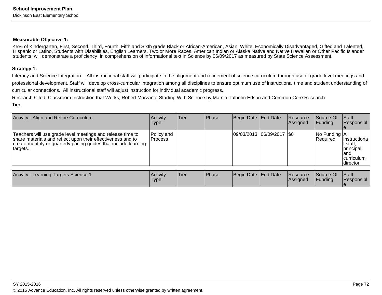#### **Measurable Objective 1:**

45% of Kindergarten, First, Second, Third, Fourth, Fifth and Sixth grade Black or African-American, Asian, White, Economically Disadvantaged, Gifted and Talented, Hispanic or Latino, Students with Disabilities, English Learners, Two or More Races, American Indian or Alaska Native and Native Hawaiian or Other Pacific Islanderstudents will demonstrate a proficiency in comprehension of informational text in Science by 06/09/2017 as measured by State Science Assessment.

#### **Strategy 1:**

Literacy and Science Integration - All instructional staff will participate in the alignment and refinement of science curriculum through use of grade level meetings and professional development. Staff will develop cross-curricular integration among all disciplines to ensure optimum use of instructional time and student understanding ofcurricular connections. All instructional staff will adjust instruction for individual academic progress.

Research Cited: Classroom Instruction that Works, Robert Marzano, Starting With Science by Marcia Talhelm Edson and Common Core ResearchTier:

| Activity - Align and Refine Curriculum                                                                                                                                                                   | Activity<br><b>Type</b> | Tier | <b>Phase</b> | Begin Date End Date |                            | Resource<br>Assigned | <b>Source Of</b><br>IFundina      | Staff<br>Responsibl                                                                       |
|----------------------------------------------------------------------------------------------------------------------------------------------------------------------------------------------------------|-------------------------|------|--------------|---------------------|----------------------------|----------------------|-----------------------------------|-------------------------------------------------------------------------------------------|
| Teachers will use grade level meetings and release time to<br>share materials and reflect upon their effectiveness and to<br>create monthly or quarterly pacing guides that include learning<br>targets. | Policy and<br>Process   |      |              |                     | 09/03/2013 06/09/2017 \\$0 |                      | No Funding All<br><b>Required</b> | linstructiona<br>I staff.<br>principal,<br>land<br><b>Icurriculum</b><br><b>Idirector</b> |

| Activity -<br>- Learning Targets Science 1 | <b>Activity</b><br>'Type | <b>Tier</b> | <b>Phase</b> | Begin Date End Date | Resource<br>lAssianed | Source Of<br>Funding | <b>Staff</b><br>Responsibl |
|--------------------------------------------|--------------------------|-------------|--------------|---------------------|-----------------------|----------------------|----------------------------|
|                                            |                          |             |              |                     |                       |                      |                            |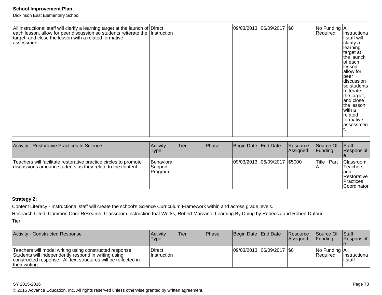Dickinson East Elementary School

| All instructional staff will clarify a learning target at the launch of Direct each lesson, allow for peer discussion so students reiterate the Instruction<br>target, and close the lesson with a related formative<br>assessment. |  |  | 09/03/2013 06/09/2017 \$0 |  | No Funding All<br>Required | instructiona<br>I staff will<br>clarify a<br>learning<br>target at<br>the launch<br>of each<br>lesson,<br>allow for<br>peer<br>discussion<br>so students<br>reiterate<br>the target,<br>and close<br>the lesson<br>with a<br>related<br>Iformative<br>assessmen |
|-------------------------------------------------------------------------------------------------------------------------------------------------------------------------------------------------------------------------------------|--|--|---------------------------|--|----------------------------|-----------------------------------------------------------------------------------------------------------------------------------------------------------------------------------------------------------------------------------------------------------------|
|-------------------------------------------------------------------------------------------------------------------------------------------------------------------------------------------------------------------------------------|--|--|---------------------------|--|----------------------------|-----------------------------------------------------------------------------------------------------------------------------------------------------------------------------------------------------------------------------------------------------------------|

| Activity - Restorative Practices In Science                                                                                    | <b>Activity</b><br><b>Type</b>   | Tier | Phase | Begin Date End Date          | Resource<br><b>Assigned</b> | Source Of<br>IFundina | <b>Staff</b><br>Responsibl                                                       |
|--------------------------------------------------------------------------------------------------------------------------------|----------------------------------|------|-------|------------------------------|-----------------------------|-----------------------|----------------------------------------------------------------------------------|
| Teachers will facilitate restorative practice circles to promote<br>discussions amoung students as they relate to the content. | Behavioral<br>Support<br>Program |      |       | 09/03/2013 06/09/2017 \$5000 |                             | lTitle I Part         | Classroom<br>lTeachers<br>land<br>Restorative<br>Practices<br><b>Coordinator</b> |

## **Strategy 2:**

Content Literacy - Instructional staff will create the school's Science Curriculum Framework within and across grade levels.

Research Cited: Common Core Research, Classroom Instruction that Works, Robert Marzano, Learning By Doing by Rebecca and Robert DufourTier:

| Activity - Constructed Response                                                                                                                                                                     | <b>Activity</b><br>Type | Tier | <b>Phase</b> | Begin Date End Date         | Resource<br><b>Assigned</b> | Source Of<br><b>IFunding</b>            | <b>Staff</b><br>Responsibl |
|-----------------------------------------------------------------------------------------------------------------------------------------------------------------------------------------------------|-------------------------|------|--------------|-----------------------------|-----------------------------|-----------------------------------------|----------------------------|
| Teachers will model writing using constructed response.<br>Students will independently respond in writing using<br>constructed response. All text structures will be reflected in<br>their writing. | Direct<br>Instruction   |      |              | 09/03/2013  06/09/2017  \$0 |                             | $ No$ Funding $ All$<br><b>Required</b> | instructiona  <br>II staff |

## SY 2015-2016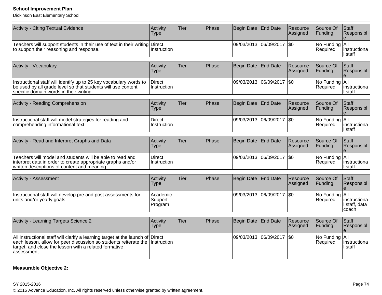Dickinson East Elementary School

| Activity - Citing Textual Evidence                                                                                                                                                                                  | Activity<br><b>Type</b>        | Tier | Phase | Begin Date        | <b>End Date</b> | Resource<br>Assigned | Source Of<br>Funding       | Staff<br>Responsibl                    |
|---------------------------------------------------------------------------------------------------------------------------------------------------------------------------------------------------------------------|--------------------------------|------|-------|-------------------|-----------------|----------------------|----------------------------|----------------------------------------|
| Teachers will support students in their use of text in their writing<br>to support their reasoning and response.                                                                                                    | <b>Direct</b><br>Instruction   |      |       | 09/03/2013        | 06/09/2017      | <b>SO</b>            | No Funding All<br>Required | instructiona<br>I staff                |
| <b>Activity - Vocabulary</b>                                                                                                                                                                                        | Activity<br><b>Type</b>        | Tier | Phase | <b>Begin Date</b> | <b>End Date</b> | Resource<br>Assigned | Source Of<br>Funding       | Staff<br>Responsibl                    |
| Instructional staff will identify up to 25 key vocabulary words to<br>be used by all grade level so that students will use content<br>specific domain words in their writing.                                       | <b>Direct</b><br>Instruction   |      |       | 09/03/2013        | 06/09/2017      | \$0                  | No Funding All<br>Required | instructiona<br>I staff                |
| Activity - Reading Comprehension                                                                                                                                                                                    | Activity<br><b>Type</b>        | Tier | Phase | Begin Date        | <b>End Date</b> | Resource<br>Assigned | Source Of<br>Funding       | Staff<br>Responsibl                    |
| Instructional staff will model strategies for reading and<br>comprehending informational text.                                                                                                                      | <b>Direct</b><br>Instruction   |      |       | 09/03/2013        | 06/09/2017      | \$0                  | No Funding<br>Required     | All<br>instructiona<br>I staff         |
| Activity - Read and Interpret Graphs and Data                                                                                                                                                                       | Activity<br><b>Type</b>        | Tier | Phase | Begin Date        | <b>End Date</b> | Resource<br>Assigned | Source Of<br>Funding       | Staff<br>Responsibl                    |
| Teachers will model and students will be able to read and<br>interpret data in order to create appropriate graphs and/or<br>written descriptions of content and meaning.                                            | <b>Direct</b><br>Instruction   |      |       | 09/03/2013        | 06/09/2017      | <b>\$0</b>           | No Funding<br>Required     | All<br>instructiona<br>I staff         |
| <b>Activity - Assessment</b>                                                                                                                                                                                        | Activity<br><b>Type</b>        | Tier | Phase | <b>Begin Date</b> | <b>End Date</b> | Resource<br>Assigned | Source Of<br>Funding       | Staff<br>Responsibl<br>$\mathbf{e}$    |
| Instructional staff will develop pre and post assessments for<br>units and/or yearly goals.                                                                                                                         | Academic<br>Support<br>Program |      |       | 09/03/2013        | 06/09/2017      | <b>SO</b>            | No Funding All<br>Required | instructiona<br>I staff, data<br>coach |
| Activity - Learning Targets Science 2                                                                                                                                                                               | Activity<br><b>Type</b>        | Tier | Phase | <b>Begin Date</b> | <b>End Date</b> | Resource<br>Assigned | Source Of<br>Funding       | Staff<br>Responsibl<br>e               |
| All instructional staff will clarify a learning target at the launch of<br>each lesson, allow for peer discussion so students reiterate the<br>target, and close the lesson with a related formative<br>assessment. | Direct<br>Instruction          |      |       | 09/03/2013        | 06/09/2017      | \$0                  | No Funding<br>Required     | All<br>instructiona<br>staff           |

# **Measurable Objective 2:**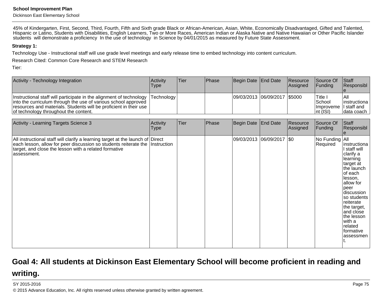Dickinson East Elementary School

45% of Kindergarten, First, Second, Third, Fourth, Fifth and Sixth grade Black or African-American, Asian, White, Economically Disadvantaged, Gifted and Talented,Hispanic or Latino, Students with Disabilities, English Learners, Two or More Races, American Indian or Alaska Native and Native Hawaiian or Other Pacific Islander<br>students will demonstrate a proficiency In the use of te

#### **Strategy 1:**

Technology Use - Instructional staff will use grade level meetings and early release time to embed technology into content curriculum.

Research Cited: Common Core Research and STEM Research

Tier:

| Activity - Technology Integration                                                                                                                                                                                                                                 | <b>Activity</b><br><b>Type</b> | lTier. | <b>Phase</b> | Begin Date End Date          | Resource<br>Assigned | Source Of<br><b>IFunding</b>                              | <b>Staff</b><br>Responsibl           |
|-------------------------------------------------------------------------------------------------------------------------------------------------------------------------------------------------------------------------------------------------------------------|--------------------------------|--------|--------------|------------------------------|----------------------|-----------------------------------------------------------|--------------------------------------|
| Instructional staff will participate in the alignment of technology  Technology  <br>into the curriculum through the use of various school approved<br>resources and materials. Students will be proficient in their use<br>of technology throughout the content. |                                |        |              | 09/03/2013 06/09/2017 \$5000 |                      | 'Title ⊾<br> School<br>Improveme I staff and<br>Int (ISI) | lAll<br>linstructiona<br>Idata coach |

| Activity - Learning Targets Science 3                                                                                                                                                                                                  | Activity<br><b>Type</b> | Tier | Phase | Begin Date End Date       | Resource<br>Assigned | Source Of<br>Funding       | Staff<br>Responsibl                                                                                                                                                                                                                                                   |
|----------------------------------------------------------------------------------------------------------------------------------------------------------------------------------------------------------------------------------------|-------------------------|------|-------|---------------------------|----------------------|----------------------------|-----------------------------------------------------------------------------------------------------------------------------------------------------------------------------------------------------------------------------------------------------------------------|
| All instructional staff will clarify a learning target at the launch of Direct<br>each lesson, allow for peer discussion so students reiterate the Instruction<br>target, and close the lesson with a related formative<br>assessment. |                         |      |       | 09/03/2013 06/09/2017 \$0 |                      | No Funding All<br>Required | instructiona<br>l staff will<br> clarify a<br> learning <br>target at<br>the launch<br>of each<br>llesson.<br>allow for<br>peer<br>discussion<br>so students<br>reiterate<br>the target,<br>and close<br>the lesson<br> with a<br>Irelated<br>formative<br>lassessmen |

# **Goal 4: All students at Dickinson East Elementary School will become proficient in reading andwriting.**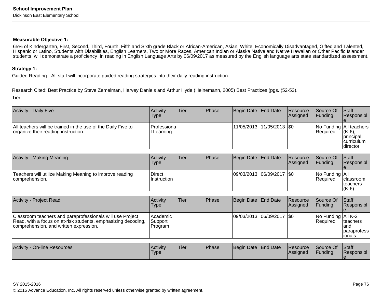#### **Measurable Objective 1:**

 65% of Kindergarten, First, Second, Third, Fourth, Fifth and Sixth grade Black or African-American, Asian, White, Economically Disadvantaged, Gifted and Talented, Hispanic or Latino, Students with Disabilities, English Learners, Two or More Races, American Indian or Alaska Native and Native Hawaiian or Other Pacific Islanderstudents will demonstrate a proficiency in reading in English Language Arts by 06/09/2017 as measured by the English language arts state standardized assessment.

#### **Strategy 1:**

Guided Reading - All staff will incorporate guided reading strategies into their daily reading instruction.

Research Cited: Best Practice by Steve Zemelman, Harvey Daniels and Arthur Hyde (Heinemann, 2005) Best Practices (pgs. (52-53).Tier:

| <b>Activity - Daily Five</b>                                                                        | Activity<br><b>Type</b>  | Tier | <b>IPhase</b> | Begin Date   End Date       | Resource<br>Assigned | <b>Source Of</b><br><b>Funding</b> | <b>Staff</b><br>Responsibl                                                            |
|-----------------------------------------------------------------------------------------------------|--------------------------|------|---------------|-----------------------------|----------------------|------------------------------------|---------------------------------------------------------------------------------------|
| All teachers will be trained in the use of the Daily Five to<br>organize their reading instruction. | Professiona <br>Learning |      |               | 11/05/2013  11/05/2013  \$0 |                      | <b>Required</b>                    | No Funding All teachers<br>$(K-6)$ ,<br> principal,<br><b>curriculum</b><br> director |

| <b>Activity - Making Meaning</b>                                          | <b>Activity</b><br>Type | Tier | <b>IPhase</b> | Begin Date End Date         | Resource<br>Assigned | Source Of<br> Funding                              | <b>Staff</b><br>Responsibl                |
|---------------------------------------------------------------------------|-------------------------|------|---------------|-----------------------------|----------------------|----------------------------------------------------|-------------------------------------------|
| Teachers will utilize Making Meaning to improve reading<br>comprehension. | Direct<br>Instruction   |      |               | 09/03/2013 06/09/2017   \$0 |                      | $\vert$ No Funding $\vert$ All<br><b>IRequired</b> | <b>Iclassroom</b><br>Iteachers<br>$(K-6)$ |

| Activity - Project Read                                                                                                                                              | Activity<br><b>Type</b>        | Tier        | <b>Phase</b> | Begin Date End Date         | Resource<br>Assigned        | Source Of<br><b>IFunding</b>        | <b>Staff</b><br>Responsibl                   |
|----------------------------------------------------------------------------------------------------------------------------------------------------------------------|--------------------------------|-------------|--------------|-----------------------------|-----------------------------|-------------------------------------|----------------------------------------------|
| Classroom teachers and paraprofessionals will use Project<br>Read, with a focus on at-risk students, emphasizing decoding,<br>comprehension, and written expression. | Academic<br>Support<br>Program |             |              | 09/03/2013 06/09/2017   \$0 |                             | No Funding   All K-2<br>l Reauired  | Iteachers<br>land<br> paraprofess<br>lionals |
| Activity - On-line Resources                                                                                                                                         | <b>Activity</b><br><b>Type</b> | <b>Tier</b> | <b>Phase</b> | Begin Date End Date         | <b>Resource</b><br>Assigned | <b>Source Of</b><br><b>IFunding</b> | <b>Staff</b><br><b>Responsibl</b>            |

e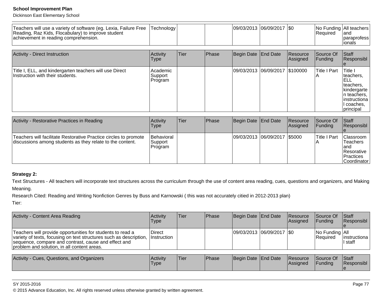Dickinson East Elementary School

| Teachers will use a variety of software (eg. Lexia, Failure Free<br>Reading, Raz Kids, Flocabulary) to improve student<br>achievement in reading comprehension. | Technology                     |      |       |                     | 09/03/2013 06/09/2017   \$0    |                      | Required                 | No Funding All teachers<br>land<br>paraprofess<br>ionals                                                                           |
|-----------------------------------------------------------------------------------------------------------------------------------------------------------------|--------------------------------|------|-------|---------------------|--------------------------------|----------------------|--------------------------|------------------------------------------------------------------------------------------------------------------------------------|
| Activity - Direct Instruction                                                                                                                                   | Activity<br><b>Type</b>        | Tier | Phase | Begin Date End Date |                                | Resource<br>Assigned | Source Of<br>Funding     | Staff<br>Responsibl                                                                                                                |
| Title I, ELL, and kindergarten teachers will use Direct<br>Instruction with their students.                                                                     | Academic<br>Support<br>Program |      |       |                     | 09/03/2013 06/09/2017 \$100000 |                      | <b>Title I Part</b><br>A | <b>Title I</b><br>teachers.<br>ELL<br>teachers,<br>kindergarte<br>In teachers.<br>Iinstructiona<br>I coaches.<br><i>Iprincipal</i> |

| Activity - Restorative Practices in Reading                                                                                   | Activity<br><b>Type</b>          | <b>Tier</b> | <b>Phase</b> | Begin Date End Date          | <b>Resource</b><br>Assigned | <b>Source Of</b><br>IFundina | <b>IStaff</b><br>Responsibl                                                                    |
|-------------------------------------------------------------------------------------------------------------------------------|----------------------------------|-------------|--------------|------------------------------|-----------------------------|------------------------------|------------------------------------------------------------------------------------------------|
| Teachers will facilitate Restorative Practice circles to promote<br>discussions among students as they relate to the content. | Behavioral<br>Support<br>Program |             |              | 09/03/2013 06/09/2017 \$5000 |                             | Title I Part                 | <b>Classroom</b><br>'Teachers<br>land<br><b>Resorative</b><br><b>IPractices</b><br>Coordinator |

# **Strategy 2:**

Text Structures - All teachers will incorporate text structures across the curriculum through the use of content area reading, cues, questions and organizers, and Making

Meaning.

Research Cited: Reading and Writing Nonfiction Genres by Buss and Karnowski ( this was not accurately citied in 2012-2013 plan)

Tier:

| Activity<br>Type      | Tier | Phase |  |                                                    |                                                                                         | Staff<br>Responsibl                                                                         |
|-----------------------|------|-------|--|----------------------------------------------------|-----------------------------------------------------------------------------------------|---------------------------------------------------------------------------------------------|
| Direct<br>Instruction |      |       |  |                                                    |                                                                                         | linstructiona<br>II staff                                                                   |
| Activity              | Tier | Phase |  |                                                    |                                                                                         | Staff<br><b>Responsibl</b>                                                                  |
|                       |      |       |  | Begin Date End Date<br>Begin Date End Date<br>Type | Resource<br><b>Assigned</b><br>09/03/2013 06/09/2017 \$0<br><b>Resource</b><br>Assigned | Source Of<br><b>Funding</b><br>No Funding   All<br>Required<br>Source Of<br><b>IFunding</b> |

### SY 2015-2016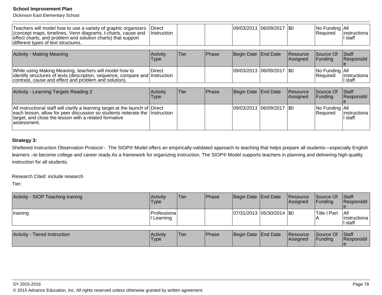Dickinson East Elementary School

| Teachers will model how to use a variety of graphic organizers<br>(concept maps, timelines, Venn diagrams, t-charts, cause and<br>effect charts, and problem and solution charts) that support<br>different types of text structures. | Direct<br>Instruction   |      |       | 09/03/2013 06/09/2017 \\$0  |                             | No Funding All<br>Required                                                   | linstructiona<br>∣ staff |
|---------------------------------------------------------------------------------------------------------------------------------------------------------------------------------------------------------------------------------------|-------------------------|------|-------|-----------------------------|-----------------------------|------------------------------------------------------------------------------|--------------------------|
|                                                                                                                                                                                                                                       |                         |      |       |                             |                             |                                                                              |                          |
| Activity - Making Meaning                                                                                                                                                                                                             | Activity<br><b>Type</b> | Tier | Phase | Begin Date End Date         | <b>Resource</b><br>Assigned | Source Of<br>Funding                                                         | Staff<br>Responsibl      |
| While using Making Meaning, teachers will model how to<br>identify structures of texts (description, sequence, compare and Instruction<br>contrast, cause and effect and problem and solution).                                       | Direct                  |      |       | 09/03/2013 06/09/2017   \$0 |                             | No Funding All<br>Required                                                   | Iinstructiona<br>I staff |
|                                                                                                                                                                                                                                       |                         |      |       |                             |                             |                                                                              |                          |
| Activity - Learning Targets Reading 2                                                                                                                                                                                                 | Activity<br>Type        | Tier | Phase | Begin Date End Date         | Resource<br>Assigned        | Source Of<br> Funding                                                        | Staff<br>Responsibl      |
| All instructional staff will clarify a learning target at the launch of Direct<br>والمقارب والمسال والملام والمستحققات والمستوات والمستحدث والمستوات والمستحدث والمستحدث والمستحدث والمالد                                            |                         |      |       | 09/03/2013 06/09/2017   \$0 |                             | No Funding   All<br>المنافس والمستلوم والمستنا والمستحدث والمستحدث والمتلائم |                          |

## All instructional staff will clarify a learning target at the launch of each lesson, allow for peer discussion so students reiterate thetarget, and close the lesson with a related formativeassessment.Direct Instruction

#### **Strategy 3:**

Sheltered Instruction Observation Protocol - The SIOP® Model offers an empirically-validated approach to teaching that helps prepare all students—especially English learners –to become college and career ready.As a framework for organizing instruction, The SIOP® Model supports teachers in planning and delivering high-qualityinstruction for all students.

Research Cited: include research

Tier:

| Activity - SIOP Teaching training | Activity<br>Type            | <b>Tier</b> | Phase        | Begin Date End Date           | Resource<br><b>Assigned</b>                                                                                                                                                                                                                                                                                                                                                                                                                                                                                                                 | <b>Source Of</b><br><b>IFundina</b> | <b>Staff</b><br><b>Responsibl</b> |
|-----------------------------------|-----------------------------|-------------|--------------|-------------------------------|---------------------------------------------------------------------------------------------------------------------------------------------------------------------------------------------------------------------------------------------------------------------------------------------------------------------------------------------------------------------------------------------------------------------------------------------------------------------------------------------------------------------------------------------|-------------------------------------|-----------------------------------|
| training                          | Professiona <br>II Learning |             |              | $ 07/31/2013 05/30/2014 $ \$0 |                                                                                                                                                                                                                                                                                                                                                                                                                                                                                                                                             | Title I Part                        | All<br>Iinstructiona<br>l staff   |
|                                   | .                           |             | $\mathbf{r}$ |                               | $\mathsf{I} \bullet \mathsf{I} \bullet \mathsf{I} \bullet \mathsf{I} \bullet \mathsf{I} \bullet \mathsf{I} \bullet \mathsf{I} \bullet \mathsf{I} \bullet \mathsf{I} \bullet \mathsf{I} \bullet \mathsf{I} \bullet \mathsf{I} \bullet \mathsf{I} \bullet \mathsf{I} \bullet \mathsf{I} \bullet \mathsf{I} \bullet \mathsf{I} \bullet \mathsf{I} \bullet \mathsf{I} \bullet \mathsf{I} \bullet \mathsf{I} \bullet \mathsf{I} \bullet \mathsf{I} \bullet \mathsf{I} \bullet \mathsf{I} \bullet \mathsf{I} \bullet \mathsf{I} \bullet \mathsf{$ |                                     |                                   |

| <b>Activity</b><br><b>Tiered Instruction</b><br>l Acti∨it∨<br>'Type |  | Tier | <b>IPhase</b> | Begin Date End Date |  | <b>Resource</b><br><b>Assigned</b> | Source Of<br><b>IFunding</b> | Staff<br>Responsibl |
|---------------------------------------------------------------------|--|------|---------------|---------------------|--|------------------------------------|------------------------------|---------------------|
|---------------------------------------------------------------------|--|------|---------------|---------------------|--|------------------------------------|------------------------------|---------------------|

Required

 instructional staff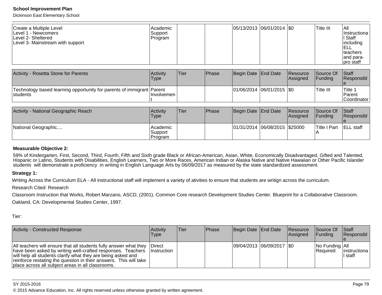Dickinson East Elementary School

| Create a Multiple Level<br>ILevel 1 - Newcomers<br>Level 2- Sheltered<br>Level 3- Mainstream with support | Academic<br> Support_<br>Program |  |  | $ 05/13/2013 06/01/2014 $ \$0 |  | Title III | IAII<br>Instructional<br>II Staff<br>including<br><b>ELL</b><br>Iteachers<br>and para-<br>pro staff |
|-----------------------------------------------------------------------------------------------------------|----------------------------------|--|--|-------------------------------|--|-----------|-----------------------------------------------------------------------------------------------------|
|-----------------------------------------------------------------------------------------------------------|----------------------------------|--|--|-------------------------------|--|-----------|-----------------------------------------------------------------------------------------------------|

| Activity - Rosetta Stone for Parents                                               | Activity<br>Type | Tier | <b>Phase</b> | Begin Date End Date |                               | <b>Resource</b><br>Assigned | <b>Source Of</b><br><b>IFunding</b> | Staff<br>Responsibl                    |
|------------------------------------------------------------------------------------|------------------|------|--------------|---------------------|-------------------------------|-----------------------------|-------------------------------------|----------------------------------------|
| Technology based learning opportunity for parents of immigrant Parent<br>Istudents | Involvemen       |      |              |                     | $ 01/06/2014 06/01/2015 $ \$0 |                             | lTitle III                          | <b>Title</b><br>Parent<br> Coordinator |

| Activity - National Geographic Reach | Activity<br><b>Type</b>         | Tier | <b>Phase</b> | Begin Date End Date |                                   | Resource<br>Assigned | <b>Source Of</b><br><b>IFunding</b> | <b>Staff</b><br>Responsibl |
|--------------------------------------|---------------------------------|------|--------------|---------------------|-----------------------------------|----------------------|-------------------------------------|----------------------------|
| National Geographic                  | Academic <br>Support<br>Program |      |              |                     | $ 01/31/2014 06/08/2015 $ \$25000 |                      | Title I Part                        | <b>ELL</b> staff           |

#### **Measurable Objective 2:**

59% of Kindergarten, First, Second, Third, Fourth, Fifth and Sixth grade Black or African-American, Asian, White, Economically Disadvantaged, Gifted and Talented,Hispanic or Latino, Students with Disabilities, English Learners, Two or More Races, American Indian or Alaska Native and Native Hawaiian or Other Pacific Islander<br>students will demonstrate a proficiency in writing in En

#### **Strategy 1:**

Writing Across the Curriculum ELA - All instructional staff will implement a variety of ativities to ensure that students are writign across the curriculum.

Research Cited: Research

 Classroom Instruction that Works, Robert Marzano, ASCD, (2001). Common Core research Development Studies Center. Blueprint for a Collaborative Classroom.Oakland, CA: Developmental Studies Center, 1997.

Tier:

| Activity - Constructed Response                                                                                                                                                                                                                                                                                            | <b>Activity</b><br>Type        | lTier. | <b>IPhase</b> | Begin Date End Date        | <b>Resource</b><br>Assigned | Source Of<br><b>Funding</b>              | $\vert$ Staff<br>Responsibl |
|----------------------------------------------------------------------------------------------------------------------------------------------------------------------------------------------------------------------------------------------------------------------------------------------------------------------------|--------------------------------|--------|---------------|----------------------------|-----------------------------|------------------------------------------|-----------------------------|
| All teachers will ensure that all students fully answer what they<br>have been asked by writing well-crafted responses. Teachers<br>will help all students clarify what they are being asked and<br>reinforce restating the question in their answers. This will take<br>place across all subject areas in all classrooms. | <b>IDirect</b><br>⊟Instruction |        |               | 09/04/2013 06/09/2017 \\$0 |                             | $ No$ Funding $ All$<br><b>IRequired</b> | instructiona  <br>l staff   |

#### SY 2015-2016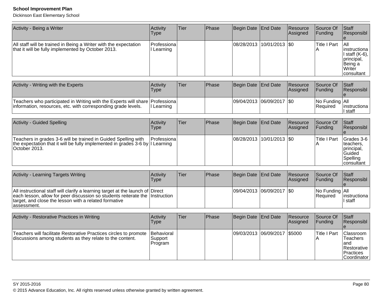| Activity - Being a Writer                                                                                                                                                                                                              | Activity<br>Type                 | <b>Tier</b> | Phase | Begin Date   End Date |                           | Resource<br>Assigned | Source Of<br>Funding       | Staff<br>Responsibl                                                                      |
|----------------------------------------------------------------------------------------------------------------------------------------------------------------------------------------------------------------------------------------|----------------------------------|-------------|-------|-----------------------|---------------------------|----------------------|----------------------------|------------------------------------------------------------------------------------------|
| All staff will be trained in Being a Writer with the expectation<br>that it will be fully implemented by October 2013.                                                                                                                 | Professiona<br>I Learning        |             |       |                       | 08/28/2013 10/01/2013 \$0 |                      | <b>Title I Part</b>        | All<br>instructiona<br>I staff (K-6),  <br>principal,<br>Being a<br>Writer<br>consultant |
| Activity - Writing with the Experts                                                                                                                                                                                                    | Activity<br><b>Type</b>          | Tier        | Phase | Begin Date            | <b>End Date</b>           | Resource<br>Assigned | Source Of<br>Funding       | Staff<br>Responsibl<br>e                                                                 |
| Teachers who participated in Writing with the Experts will share Professiona<br>information, resources, etc. with corresponding grade levels.                                                                                          | I Learning                       |             |       | 09/04/2013            | 06/09/2017                | $ $ \$0              | No Funding All<br>Required | instructiona<br>l staff                                                                  |
| <b>Activity - Guided Spelling</b>                                                                                                                                                                                                      | Activity<br><b>Type</b>          | Tier        | Phase | Begin Date            | <b>End Date</b>           | Resource<br>Assigned | Source Of<br>Funding       | Staff<br>Responsibl<br>e                                                                 |
| Teachers in grades 3-6 will be trained in Guided Spelling with<br>the expectation that it will be fully implemented in grades 3-6 by I Learning<br>October 2013.                                                                       | Professiona                      |             |       | 08/28/2013            | 10/01/2013   \$0          |                      | <b>Title I Part</b><br>A   | Grades 3-6<br>teachers,<br>principal,<br>Guided<br>Spelling<br>consultant                |
| Activity - Learning Targets Writing                                                                                                                                                                                                    | Activity<br><b>Type</b>          | Tier        | Phase | Begin Date            | <b>End Date</b>           | Resource<br>Assigned | Source Of<br>Funding       | Staff<br>Responsibl                                                                      |
| All instructional staff will clarify a learning target at the launch of Direct<br>each lesson, allow for peer discussion so students reiterate the Instruction<br>target, and close the lesson with a related formative<br>assessment. |                                  |             |       |                       | 09/04/2013 06/09/2017 \$0 |                      | No Funding<br>Required     | All<br>instructiona<br>staff                                                             |
| Activity - Restorative Practices in Writing                                                                                                                                                                                            | Activity<br><b>Type</b>          | Tier        | Phase | Begin Date            | End Date                  | Resource<br>Assigned | Source Of<br>Funding       | Staff<br>Responsibl<br>e                                                                 |
| Teachers will facilitate Restorative Practices circles to promote<br>discussions among students as they relate to the content.                                                                                                         | Behavioral<br>Support<br>Program |             |       | 09/03/2013            | 06/09/2017                | \$5000               | <b>Title I Part</b><br>Α   | Classroom<br><b>Teachers</b><br>land<br>Restorative<br>Practices<br>Coordinator          |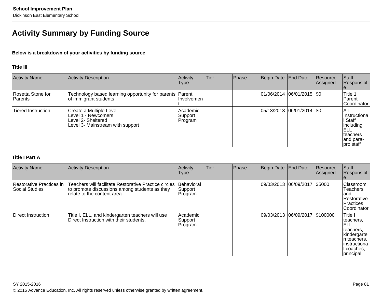# **Activity Summary by Funding Source**

## **Below is a breakdown of your activities by funding source**

#### **Title III**

| <b>Activity Name</b>           | Activity Description                                                                                     | Activity<br>Type               | <b>Tier</b> | Phase | Begin Date End Date |                            | Resource<br>Assigned | Staff<br>Responsibl                                                                          |
|--------------------------------|----------------------------------------------------------------------------------------------------------|--------------------------------|-------------|-------|---------------------|----------------------------|----------------------|----------------------------------------------------------------------------------------------|
| Rosetta Stone for<br>l Parents | Technology based learning opportunity for parents   Parent<br>of immigrant students                      | <b>Involvemen</b>              |             |       |                     | 01/06/2014 06/01/2015  \$0 |                      | Title 1<br>l Parent<br>lCoordinator                                                          |
| Tiered Instruction             | Create a Multiple Level<br>Level 1 - Newcomers<br>Level 2- Sheltered<br>Level 3- Mainstream with support | Academic<br>Support<br>Program |             |       |                     | 05/13/2013 06/01/2014  \$0 |                      | All<br>IInstructiona<br>I Staff<br>including<br>IELL<br>Iteachers<br>land para-<br>pro staff |

## **Title I Part A**

| <b>Activity Name</b>                       | <b>Activity Description</b>                                                                                                           | Activity<br>Type                 | <b>Tier</b> | Phase | Begin Date End Date              | Resource<br>Assigned | Staff<br>Responsibl                                                                                                          |
|--------------------------------------------|---------------------------------------------------------------------------------------------------------------------------------------|----------------------------------|-------------|-------|----------------------------------|----------------------|------------------------------------------------------------------------------------------------------------------------------|
| Restorative Practices in<br>Social Studies | Teachers will facilitate Restorative Practice circles<br>to promote discussions among students as they<br>relate to the content area. | Behavioral<br>Support<br>Program |             |       | 09/03/2013  06/09/2017  \$5000   |                      | Classroom<br><b>Teachers</b><br>land<br>Restorative<br><b>Practices</b><br>Coordinator                                       |
| Direct Instruction                         | Title I, ELL, and kindergarten teachers will use<br>Direct Instruction with their students.                                           | Academic<br>Support<br>Program   |             |       | 09/03/2013  06/09/2017  \$100000 |                      | <b>Title I</b><br>teachers,<br>IELL.<br>teachers.<br>kindergarte<br>∣n teachers,<br> instructiona<br>l coaches.<br>principal |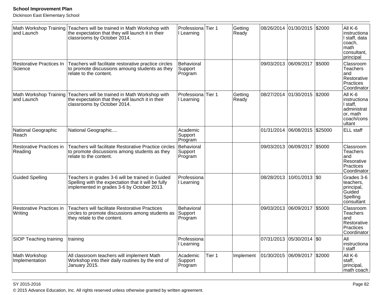Dickinson East Elementary School

| and Launch                          | Math Workshop Training Teachers will be trained in Math Workshop with<br>the expectation that they will launch it in their<br>classrooms by October 2014. | Professiona <sup>Tier</sup> 1<br>Learning |        | Getting<br>Ready | 08/26/2014 01/30/2015 |                       | \$2000  | All K-6<br>instructiona<br>I staff, data<br>coach.<br>math<br>consultant,<br>principal |
|-------------------------------------|-----------------------------------------------------------------------------------------------------------------------------------------------------------|-------------------------------------------|--------|------------------|-----------------------|-----------------------|---------|----------------------------------------------------------------------------------------|
| Restorative Practices In<br>Science | Teachers will facilitate restorative practice circles<br>to promote discussions amoung students as they<br>relate to the content.                         | Behavioral<br>Support<br>Program          |        |                  |                       | 09/03/2013 06/09/2017 | \$5000  | Classroom<br><b>Teachers</b><br>and<br>Restorative<br>Practices<br>Coordinator         |
| and Launch                          | Math Workshop Training Teachers will be trained in Math Workshop with<br>the expectation that they will launch it in their<br>classrooms by October 2014. | Professiona<br>I Learning                 | Tier 1 | Getting<br>Ready |                       | 08/27/2014 01/30/2015 | \$2000  | All K-6<br>instructiona<br>I staff,<br>administrat<br>or, math<br>coach/cons<br>ultant |
| National Geographic<br>Reach        | National Geographic                                                                                                                                       | Academic<br>Support<br>Program            |        |                  |                       | 01/31/2014 06/08/2015 | \$25000 | ELL staff                                                                              |
| Restorative Practices in<br>Reading | Teachers will facilitate Restorative Practice circles<br>to promote discussions among students as they<br>relate to the content.                          | Behavioral<br>Support<br>Program          |        |                  |                       | 09/03/2013 06/09/2017 | \$5000  | Classroom<br><b>Teachers</b><br>and<br>Resorative<br><b>Practices</b><br>Coordinator   |
| <b>Guided Spelling</b>              | Teachers in grades 3-6 will be trained in Guided<br>Spelling with the expectation that it will be fully<br>implemented in grades 3-6 by October 2013.     | Professiona<br>I Learning                 |        |                  | 08/28/2013            | 10/01/2013            | $ $ \$0 | Grades 3-6<br>teachers,<br>principal,<br>Guided<br>Spelling<br>consultant              |
| Restorative Practices in<br>Writing | <b>Teachers will facilitate Restorative Practices</b><br>circles to promote discussions among students as<br>they relate to the content.                  | Behavioral<br>Support<br>Program          |        |                  | 09/03/2013 06/09/2017 |                       | \$5000  | Classroom<br>Teachers<br>and<br>Restorative<br>Practices<br>Coordinator                |
| <b>SIOP Teaching training</b>       | training                                                                                                                                                  | Professiona<br>Learning                   |        |                  |                       | 07/31/2013 05/30/2014 | $ $ \$0 | All<br>instructiona<br>I staff                                                         |
| Math Workshop<br>Implementation     | All classroom teachers will implement Math<br>Workshop into their daily routines by the end of<br>January 2015.                                           | Academic<br>Support<br>Program            | Tier 1 | Implement        | 01/30/2015 06/09/2017 |                       | \$2000  | All K-6<br>staff.<br>principal,<br>math coach                                          |

en and the set of the set of the set of the set of the set of the set of the set of the set of the set of the set of the set of the set of the set of the set of the set of the set of the set of the set of the set of the se © 2015 Advance Education, Inc. All rights reserved unless otherwise granted by written agreement.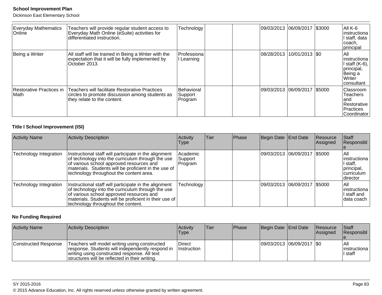Dickinson East Elementary School

| <b>Everyday Mathematics</b><br><b>Online</b> | Teachers will provide regular student access to<br>Everyday Math Online (eSuite) activities for<br>differentiated instruction.   | Technology                       |  | 09/03/2013  06/09/2017  \$3000 | AII K-6<br> instructiona <br>I staff, data<br>∣coach,<br> principal                            |
|----------------------------------------------|----------------------------------------------------------------------------------------------------------------------------------|----------------------------------|--|--------------------------------|------------------------------------------------------------------------------------------------|
| Being a Writer                               | All staff will be trained in Being a Writer with the<br>expectation that it will be fully implemented by<br>October 2013.        | Professiona<br>l Learning        |  | 08/28/2013 10/01/2013  \$0     | IAII<br>linstructiona<br>I staff $(K-6)$ ,<br>principal,<br>Being a<br>l Writer<br> consultant |
| Restorative Practices in<br>Math             | Teachers will facilitate Restorative Practices<br>circles to promote discussion among students as<br>they relate to the content. | Behavioral<br>Support<br>Program |  | 09/03/2013  06/09/2017  \$5000 | <b>Classroom</b><br><b>Teachers</b><br>land<br>Restorative<br>l Practices<br> Coordinator      |

## **Title I School Improvement (ISI)**

| <b>Activity Name</b>   | <b>Activity Description</b>                                                                                                                                                                                                                               | Activity<br>Type               | Tier | Phase | Begin Date End Date |                                | Resource<br>Assigned | Staff<br>Responsibl                                                         |
|------------------------|-----------------------------------------------------------------------------------------------------------------------------------------------------------------------------------------------------------------------------------------------------------|--------------------------------|------|-------|---------------------|--------------------------------|----------------------|-----------------------------------------------------------------------------|
| Technology Integration | Instructional staff will participate in the alignment<br>of technology into the curriculum through the use<br>of various school approved resources and<br>materials. Students will be proficient in the use of<br>technology throughout the content area. | Academic<br>Support<br>Program |      |       |                     | 09/03/2013  06/09/2017  \$5000 |                      | IAII<br>linstructiona<br> I staff,<br>principal,<br>curriculum<br>Idirector |
| Technology Integration | Instructional staff will participate in the alignment<br>of technology into the curriculum through the use<br>of various school approved resources and<br>materials. Students will be proficient in their use of<br>technology throughout the content.    | Technology                     |      |       |                     | 09/03/2013  06/09/2017  \$5000 |                      | IAII<br>linstructiona<br>I staff and<br>data coach                          |

# **No Funding Required**

| <b>Activity Name</b> | Activity Description                                                                                                                                                                                | Activity<br>Type                    | 'Tier | <b>Phase</b> | Begin Date End Date |                             | <b>Resource</b><br>Assigned | Staff<br>Responsibl                |
|----------------------|-----------------------------------------------------------------------------------------------------------------------------------------------------------------------------------------------------|-------------------------------------|-------|--------------|---------------------|-----------------------------|-----------------------------|------------------------------------|
| Constructed Response | Teachers will model writing using constructed<br>response. Students will independently respond in<br>writing using constructed response. All text<br>structures will be reflected in their writing. | <b>Direct</b><br><i>Instruction</i> |       |              |                     | 09/03/2013 06/09/2017   \$0 |                             | l All<br>linstructional<br>I staff |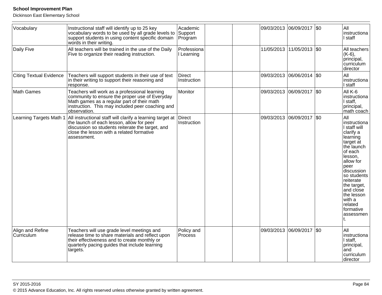| Vocabulary                     | Instructional staff will identify up to 25 key<br>vocabulary words to be used by all grade levels to<br>support students in using content specific domain<br>words in their writing.                                          | Academic<br>Support<br>Program |  | 09/03/2013 06/09/2017 \$0   |         | All<br>instructiona<br>I staff                                                                                                                                                                                                                                        |
|--------------------------------|-------------------------------------------------------------------------------------------------------------------------------------------------------------------------------------------------------------------------------|--------------------------------|--|-----------------------------|---------|-----------------------------------------------------------------------------------------------------------------------------------------------------------------------------------------------------------------------------------------------------------------------|
| Daily Five                     | All teachers will be trained in the use of the Daily<br>Five to organize their reading instruction.                                                                                                                           | Professiona<br>I Learning      |  | 11/05/2013 11/05/2013 \$0   |         | All teachers<br>$(K-6),$<br>principal,<br>curriculum<br>director                                                                                                                                                                                                      |
| <b>Citing Textual Evidence</b> | Teachers will support students in their use of text<br>in their writing to support their reasoning and<br>response.                                                                                                           | <b>Direct</b><br>Instruction   |  | 09/03/2013 06/06/2014       | $ $ \$0 | All<br>instructiona<br>I staff                                                                                                                                                                                                                                        |
| Math Games                     | Teachers will work as a professional learning<br>community to ensure the proper use of Everyday<br>Math games as a regular part of their math<br>instruction. This may included peer coaching and<br>observation.             | Monitor                        |  | 09/03/2013  06/09/2017  \$0 |         | All K-6<br>instructiona<br>I staff,<br>principal,<br>math coach                                                                                                                                                                                                       |
| Learning Targets Math 1        | All instructional staff will clarify a learning target at Direct<br>the launch of each lesson, allow for peer<br>discussion so students reiterate the target, and<br>close the lesson with a related formative<br>assessment. | Instruction                    |  | 09/03/2013 06/09/2017       | $ $ \$0 | All<br>instructiona<br>I staff will<br>clarify a<br>learning<br>target at<br>the launch<br>of each<br>lesson,<br>allow for<br>peer<br>discussion<br>so students<br>reiterate<br>the target,<br>and close<br>the lesson<br>with a<br>related<br>formative<br>assessmen |
| Align and Refine<br>Curriculum | Teachers will use grade level meetings and<br>release time to share materials and reflect upon<br>their effectiveness and to create monthly or<br>quarterly pacing guides that include learning<br>targets.                   | Policy and<br>Process          |  | 09/03/2013  06/09/2017  \$0 |         | All<br>instructiona<br>I staff,<br>principal,<br>land<br>curriculum<br>director                                                                                                                                                                                       |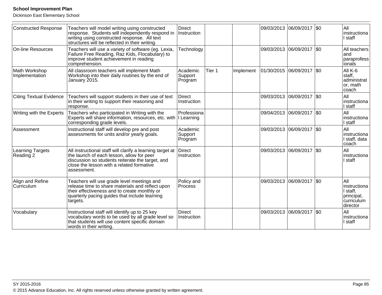| <b>Constructed Response</b>     | Teachers will model writing using constructed<br>response. Students will independently respond in<br>writing using constructed response. All text<br>structures will be reflected in their writing.                    | <b>Direct</b><br>Instruction   |        |           | 09/03/2013 06/09/2017 \$0   |         | All<br>Instructiona<br>I staff                                          |
|---------------------------------|------------------------------------------------------------------------------------------------------------------------------------------------------------------------------------------------------------------------|--------------------------------|--------|-----------|-----------------------------|---------|-------------------------------------------------------------------------|
| On-line Resources               | Teachers will use a variety of software (eg. Lexia,<br>Failure Free Reading, Raz Kids, Flocabulary) to<br>improve student achievement in reading<br>comprehension.                                                     | Technology                     |        |           | 09/03/2013 06/09/2017 \$0   |         | All teachers<br>land<br> paraprofess <br>ionals                         |
| Math Workshop<br>Implementation | All classroom teachers will implement Math<br>Workshop into their daily routines by the end of<br>January 2015.                                                                                                        | Academic<br>Support<br>Program | Tier 1 | Implement | 01/30/2015 06/09/2017   \$0 |         | All K-6<br>staff,<br>administrat<br>or, math<br>coach                   |
| <b>Citing Textual Evidence</b>  | Teachers will support students in their use of text<br>in their writing to support their reasoning and<br>response.                                                                                                    | <b>Direct</b><br>Instruction   |        |           | 09/03/2013 06/09/2017       | \$0     | All<br>instructiona<br>I staff                                          |
| Writing with the Experts        | Teachers who participated in Writing with the<br>Experts will share information, resources, etc. with<br>corresponding grade levels.                                                                                   | Professiona<br>I Learning      |        |           | 09/04/2013 06/09/2017       | $ $ \$0 | All<br>linstructiona<br>I staff                                         |
| Assessment                      | Instructional staff will develop pre and post<br>assessments for units and/or yearly goals.                                                                                                                            | Academic<br>Support<br>Program |        |           | 09/03/2013  06/09/2017  \$0 |         | All<br>instructiona<br>I staff, data<br>coach                           |
| Learning Targets<br>Reading 2   | All instructional staff will clarify a learning target at<br>the launch of each lesson, allow for peer<br>discussion so students reiterate the target, and<br>close the lesson with a related formative<br>assessment. | Direct<br>Instruction          |        |           | 09/03/2013  06/09/2017  \$0 |         | All<br>Instructiona<br>I staff                                          |
| Align and Refine<br>Curriculum  | Teachers will use grade level meetings and<br>release time to share materials and reflect upon<br>their effectiveness and to create monthly or<br>quarterly pacing guides that include learning<br>targets.            | Policy and<br>Process          |        |           | 09/03/2013 06/09/2017 \$0   |         | All<br>instructiona<br>I staff,<br>principal,<br>curriculum<br>director |
| Vocabulary                      | Instructional staff will identify up to 25 key<br>vocabulary words to be used by all grade level so<br>that students will use content specific domain<br>words in their writing.                                       | <b>Direct</b><br>Instruction   |        |           | 09/03/2013 06/09/2017       | I\$0    | All<br>linstructiona<br>I staff                                         |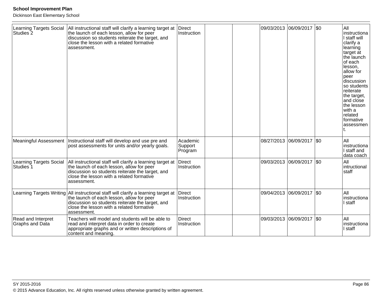| <b>Learning Targets Social</b><br>Studies <sub>2</sub> | All instructional staff will clarify a learning target at<br>the launch of each lesson, allow for peer<br>discussion so students reiterate the target, and<br>close the lesson with a related formative<br>assessment.                          | Direct<br>Instruction          | 09/03/2013 06/09/2017 \$0   |     | All<br>linstructiona<br>I staff will<br>clarify a<br>learning<br>target at<br>the launch<br>of each<br>lesson,<br>allow for<br>peer<br>discussion<br>so students<br>reiterate<br>the target,<br>and close<br>the lesson<br>with a<br>related<br>formative<br>assessmen |
|--------------------------------------------------------|-------------------------------------------------------------------------------------------------------------------------------------------------------------------------------------------------------------------------------------------------|--------------------------------|-----------------------------|-----|------------------------------------------------------------------------------------------------------------------------------------------------------------------------------------------------------------------------------------------------------------------------|
| <b>Meaningful Assessment</b>                           | Instructional staff will develop and use pre and<br>post assessments for units and/or yearly goals.                                                                                                                                             | Academic<br>Support<br>Program | 08/27/2013 06/09/2017   \$0 |     | All<br>instructiona<br>I staff and<br>data coach                                                                                                                                                                                                                       |
| <b>Learning Targets Social</b><br>Studies <sup>7</sup> | All instructional staff will clarify a learning target at<br>the launch of each lesson, allow for peer<br>discussion so students reiterate the target, and<br>close the lesson with a related formative<br>assessment.                          | Direct<br>Instruction          | 09/03/2013 06/09/2017 \$0   |     | All<br>intructional<br>staff                                                                                                                                                                                                                                           |
|                                                        | Learning Targets Writing All instructional staff will clarify a learning target at<br>the launch of each lesson, allow for peer<br>discussion so students reiterate the target, and<br>close the lesson with a related formative<br>assessment. | Direct<br>Instruction          | 09/04/2013 06/09/2017       | \$0 | All<br>instructiona<br>I staff                                                                                                                                                                                                                                         |
| Read and Interpret<br>Graphs and Data                  | Teachers will model and students will be able to<br>read and interpret data in order to create<br>appropriate graphs and or written descriptions of<br>content and meaning.                                                                     | <b>Direct</b><br>Instruction   | 09/03/2013 06/09/2017 \$0   |     | All<br>Instructiona<br>I staff                                                                                                                                                                                                                                         |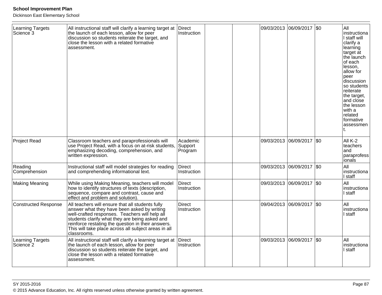| <b>Learning Targets</b><br>Science <sup>3</sup> | All instructional staff will clarify a learning target at<br>the launch of each lesson, allow for peer<br>discussion so students reiterate the target, and<br>close the lesson with a related formative<br>assessment.                                                                                                           | Direct<br>Instruction          |            | 09/03/2013 06/09/2017 \$0   | All<br>instructiona<br>I staff will<br>clarify a<br>learning<br>target at<br>the launch<br>of each<br>lesson,<br>allow for<br>peer<br>discussion<br>so students<br>reiterate<br>the target,<br>and close<br>the lesson<br>with a<br>related<br>formative<br>assessmen |
|-------------------------------------------------|----------------------------------------------------------------------------------------------------------------------------------------------------------------------------------------------------------------------------------------------------------------------------------------------------------------------------------|--------------------------------|------------|-----------------------------|-----------------------------------------------------------------------------------------------------------------------------------------------------------------------------------------------------------------------------------------------------------------------|
| <b>Project Read</b>                             | Classroom teachers and paraprofessionals will<br>use Project Read, with a focus on at-risk students,<br>emphasizing decoding, comprehension, and<br>written expression.                                                                                                                                                          | Academic<br>Support<br>Program | 09/03/2013 | 06/09/2017 \$0              | All K-2<br>teachers<br>and<br>paraprofess<br>lionais                                                                                                                                                                                                                  |
| Reading<br>Comprehension                        | Instructional staff will model strategies for reading<br>and comprehending informational text.                                                                                                                                                                                                                                   | Direct<br>Instruction          | 09/03/2013 | 06/09/2017 \$0              | All<br>instructiona<br>I staff                                                                                                                                                                                                                                        |
| <b>Making Meaning</b>                           | While using Making Meaning, teachers will model<br>how to identify structures of texts (description,<br>sequence, compare and contrast, cause and<br>effect and problem and solution).                                                                                                                                           | Direct<br>Instruction          |            | 09/03/2013  06/09/2017  \$0 | All<br>instructiona<br>staff                                                                                                                                                                                                                                          |
| <b>Constructed Response</b>                     | All teachers will ensure that all students fully<br>answer what they have been asked by writing<br>well-crafted responses. Teachers will help all<br>students clarify what they are being asked and<br>reinforce restating the question in their answers.<br>This will take place across all subject areas in all<br>classrooms. | <b>Direct</b><br>Instruction   |            | 09/04/2013 06/09/2017 \$0   | All<br>instructiona<br>staff                                                                                                                                                                                                                                          |
| Learning Targets<br>Science <sub>2</sub>        | All instructional staff will clarify a learning target at Direct<br>the launch of each lesson, allow for peer<br>discussion so students reiterate the target, and<br>close the lesson with a related formative<br>assessment.                                                                                                    | Instruction                    |            | 09/03/2013 06/09/2017 \$0   | All<br>instructiona<br>staff                                                                                                                                                                                                                                          |